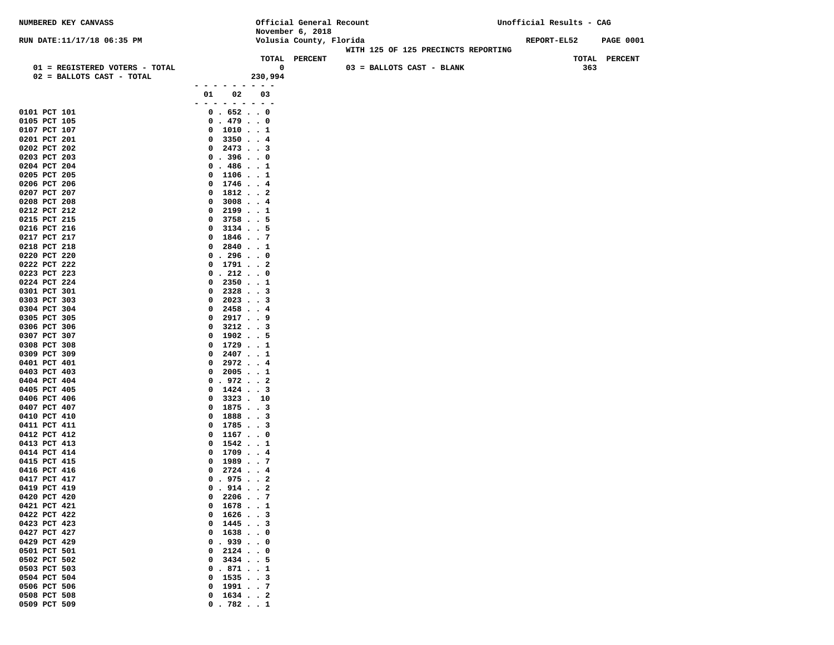| <b>NUMBERED KEY CANVASS</b>                                 |                                                      |              | Official General Recount<br>November 6, 2018 |                           |                                     | Unofficial Results - CAG |       |                  |
|-------------------------------------------------------------|------------------------------------------------------|--------------|----------------------------------------------|---------------------------|-------------------------------------|--------------------------|-------|------------------|
| RUN DATE:11/17/18 06:35 PM                                  |                                                      |              | Volusia County, Florida                      |                           |                                     | REPORT-EL52              |       | <b>PAGE 0001</b> |
|                                                             |                                                      |              |                                              |                           | WITH 125 OF 125 PRECINCTS REPORTING |                          |       |                  |
|                                                             |                                                      |              | TOTAL PERCENT                                |                           |                                     |                          | TOTAL | <b>PERCENT</b>   |
| 01 = REGISTERED VOTERS - TOTAL<br>02 = BALLOTS CAST - TOTAL |                                                      | 0<br>230,994 |                                              | 03 = BALLOTS CAST - BLANK |                                     |                          | 363   |                  |
|                                                             | - - - - - - - -                                      |              |                                              |                           |                                     |                          |       |                  |
|                                                             | 02<br>01                                             | 03           |                                              |                           |                                     |                          |       |                  |
|                                                             | $ -$                                                 | $   -$       |                                              |                           |                                     |                          |       |                  |
| 0101 PCT 101<br>0105 PCT 105                                | 0.6520<br>0.479.0                                    |              |                                              |                           |                                     |                          |       |                  |
| 0107 PCT 107                                                | $0$ 10101                                            |              |                                              |                           |                                     |                          |       |                  |
| 0201 PCT 201                                                | 33504<br>0                                           |              |                                              |                           |                                     |                          |       |                  |
| 0202 PCT 202                                                | $0$ 2473 3                                           |              |                                              |                           |                                     |                          |       |                  |
| 0203 PCT 203                                                | 0.3960                                               |              |                                              |                           |                                     |                          |       |                  |
| 0204 PCT 204                                                | 0.4861                                               |              |                                              |                           |                                     |                          |       |                  |
| 0205 PCT 205<br>0206 PCT 206                                | 1106 1<br>0<br>$1746$ 4<br>$\mathbf{0}$              |              |                                              |                           |                                     |                          |       |                  |
| 0207 PCT 207                                                | 18122<br>$\mathbf{o}$                                |              |                                              |                           |                                     |                          |       |                  |
| 0208 PCT 208                                                | 30084<br>0                                           |              |                                              |                           |                                     |                          |       |                  |
| 0212 PCT 212                                                | 21991<br>$\mathbf{0}$                                |              |                                              |                           |                                     |                          |       |                  |
| 0215 PCT 215                                                | 37585<br>0                                           |              |                                              |                           |                                     |                          |       |                  |
| 0216 PCT 216<br>0217 PCT 217                                | $3134$ 5<br>0<br>$1846$ 7<br>$\mathbf{o}$            |              |                                              |                           |                                     |                          |       |                  |
| 0218 PCT 218                                                | $2840$ 1<br>0                                        |              |                                              |                           |                                     |                          |       |                  |
| 0220 PCT 220                                                | 0.296.0                                              |              |                                              |                           |                                     |                          |       |                  |
| 0222 PCT 222                                                | $0$ 1791 2                                           |              |                                              |                           |                                     |                          |       |                  |
| 0223 PCT 223                                                | 0.212.0                                              |              |                                              |                           |                                     |                          |       |                  |
| 0224 PCT 224<br>0301 PCT 301                                | 23501<br>0<br>23283<br>0                             |              |                                              |                           |                                     |                          |       |                  |
| 0303 PCT 303                                                | 20233<br>$\mathbf{0}$                                |              |                                              |                           |                                     |                          |       |                  |
| 0304 PCT 304                                                | $2458$ 4<br>0                                        |              |                                              |                           |                                     |                          |       |                  |
| 0305 PCT 305                                                | 2917.9<br>0                                          |              |                                              |                           |                                     |                          |       |                  |
| 0306 PCT 306                                                | $3212$ 3<br>0                                        |              |                                              |                           |                                     |                          |       |                  |
| 0307 PCT 307<br>0308 PCT 308                                | $1902$ 5<br>0<br>$1729$ 1<br>0                       |              |                                              |                           |                                     |                          |       |                  |
| 0309 PCT 309                                                | 24071<br>0                                           |              |                                              |                           |                                     |                          |       |                  |
| 0401 PCT 401                                                | $2972$ 4<br>0                                        |              |                                              |                           |                                     |                          |       |                  |
| 0403 PCT 403                                                | 20051<br>0                                           |              |                                              |                           |                                     |                          |       |                  |
| 0404 PCT 404                                                | 0.9722                                               |              |                                              |                           |                                     |                          |       |                  |
| 0405 PCT 405<br>0406 PCT 406                                | $1424$ 3<br>$\mathbf{o}$<br>3323.10<br>0             |              |                                              |                           |                                     |                          |       |                  |
| 0407 PCT 407                                                | 18753<br>$\mathbf{o}$                                |              |                                              |                           |                                     |                          |       |                  |
| 0410 PCT 410                                                | 18883<br>$\mathbf{0}$                                |              |                                              |                           |                                     |                          |       |                  |
| 0411 PCT 411                                                | 17853<br>$\mathbf{0}$                                |              |                                              |                           |                                     |                          |       |                  |
| 0412 PCT 412                                                | 11670<br>0                                           |              |                                              |                           |                                     |                          |       |                  |
| 0413 PCT 413<br>0414 PCT 414                                | $1542$ 1<br>$\mathbf{0}$<br>$1709$ 4<br>$\mathbf{0}$ |              |                                              |                           |                                     |                          |       |                  |
| 0415 PCT 415                                                | 19897<br>$\mathbf{o}$                                |              |                                              |                           |                                     |                          |       |                  |
| 0416 PCT 416                                                | $0$ 2724 4                                           |              |                                              |                           |                                     |                          |       |                  |
| 0417 PCT 417                                                | 0.9752                                               |              |                                              |                           |                                     |                          |       |                  |
| 0419 PCT 419                                                | 0.914.12                                             |              |                                              |                           |                                     |                          |       |                  |
| 0420 PCT 420<br>0421 PCT 421                                | $0$ 22067<br>$1678$ 1<br>0                           |              |                                              |                           |                                     |                          |       |                  |
| 0422 PCT 422                                                | 16263<br>0                                           |              |                                              |                           |                                     |                          |       |                  |
| 0423 PCT 423                                                | 14453<br>$\mathbf{o}$                                |              |                                              |                           |                                     |                          |       |                  |
| 0427 PCT 427                                                | 16380<br>$\mathbf{o}$                                |              |                                              |                           |                                     |                          |       |                  |
| 0429 PCT 429                                                | .9390<br>$\mathbf{o}$                                |              |                                              |                           |                                     |                          |       |                  |
| 0501 PCT 501<br>0502 PCT 502                                | $2124$ 0<br>0<br>34345<br>0                          |              |                                              |                           |                                     |                          |       |                  |
| 0503 PCT 503                                                | 0.8711                                               |              |                                              |                           |                                     |                          |       |                  |
| 0504 PCT 504                                                | $0$ 1535 3                                           |              |                                              |                           |                                     |                          |       |                  |
| 0506 PCT 506                                                | 1991.7<br>$\mathbf{0}$                               |              |                                              |                           |                                     |                          |       |                  |
| 0508 PCT 508                                                | $1634$ 2<br>$\mathbf{0}$                             |              |                                              |                           |                                     |                          |       |                  |
| 0509 PCT 509                                                | 0.782.1                                              |              |                                              |                           |                                     |                          |       |                  |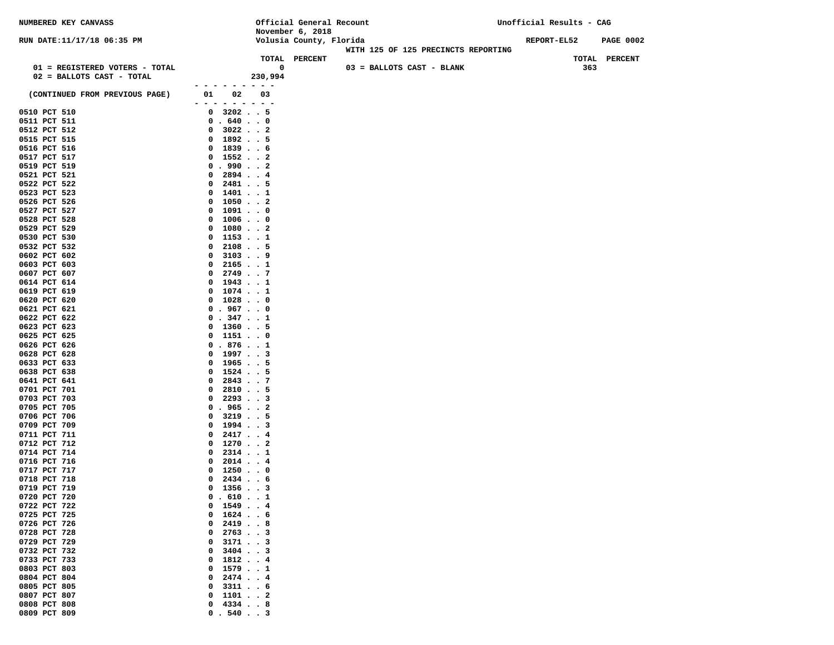| NUMBERED KEY CANVASS           |                                                                                                                     | Official General Recount |                                     | Unofficial Results - CAG |     |                  |
|--------------------------------|---------------------------------------------------------------------------------------------------------------------|--------------------------|-------------------------------------|--------------------------|-----|------------------|
|                                |                                                                                                                     | November 6, 2018         |                                     |                          |     |                  |
| RUN DATE:11/17/18 06:35 PM     |                                                                                                                     | Volusia County, Florida  |                                     | REPORT-EL52              |     | <b>PAGE 0002</b> |
|                                |                                                                                                                     | TOTAL PERCENT            | WITH 125 OF 125 PRECINCTS REPORTING |                          |     | TOTAL PERCENT    |
| 01 = REGISTERED VOTERS - TOTAL |                                                                                                                     | 0                        | 03 = BALLOTS CAST - BLANK           |                          | 363 |                  |
| 02 = BALLOTS CAST - TOTAL      |                                                                                                                     | 230,994                  |                                     |                          |     |                  |
|                                |                                                                                                                     |                          |                                     |                          |     |                  |
| (CONTINUED FROM PREVIOUS PAGE) | 02<br>01<br>$\frac{1}{2} \left( \frac{1}{2} \right) \left( \frac{1}{2} \right) \left( \frac{1}{2} \right)$<br>$  -$ | 03                       |                                     |                          |     |                  |
| 0510 PCT 510                   | $0$ 3202 5                                                                                                          |                          |                                     |                          |     |                  |
| 0511 PCT 511                   | 0.6400                                                                                                              |                          |                                     |                          |     |                  |
| 0512 PCT 512                   | $0$ 3022 2                                                                                                          |                          |                                     |                          |     |                  |
| 0515 PCT 515                   | $0$ 1892 5                                                                                                          |                          |                                     |                          |     |                  |
| 0516 PCT 516                   | $0$ 1839 6                                                                                                          |                          |                                     |                          |     |                  |
| 0517 PCT 517                   | $0$ 15522                                                                                                           |                          |                                     |                          |     |                  |
| 0519 PCT 519                   | 0.990.2                                                                                                             |                          |                                     |                          |     |                  |
| 0521 PCT 521                   | $0$ 2894 4                                                                                                          |                          |                                     |                          |     |                  |
| 0522 PCT 522<br>0523 PCT 523   | $2481$ 5<br>$\mathbf{0}$<br>$0$ 1401 1                                                                              |                          |                                     |                          |     |                  |
| 0526 PCT 526                   | $0$ 10502                                                                                                           |                          |                                     |                          |     |                  |
| 0527 PCT 527                   | $0$ 1091 0                                                                                                          |                          |                                     |                          |     |                  |
| 0528 PCT 528                   | 0 10060                                                                                                             |                          |                                     |                          |     |                  |
| 0529 PCT 529                   | $0$ 1080 2                                                                                                          |                          |                                     |                          |     |                  |
| 0530 PCT 530                   | $0$ 11531                                                                                                           |                          |                                     |                          |     |                  |
| 0532 PCT 532                   | 21085<br>0                                                                                                          |                          |                                     |                          |     |                  |
| 0602 PCT 602                   | 31039<br>$\mathbf{0}$                                                                                               |                          |                                     |                          |     |                  |
| 0603 PCT 603                   | $0$ 21651                                                                                                           |                          |                                     |                          |     |                  |
| 0607 PCT 607<br>0614 PCT 614   | $0$ 2749 7<br>$0$ 1943 1                                                                                            |                          |                                     |                          |     |                  |
| 0619 PCT 619                   | $0$ 1074 1                                                                                                          |                          |                                     |                          |     |                  |
| 0620 PCT 620                   | 0 10280                                                                                                             |                          |                                     |                          |     |                  |
| 0621 PCT 621                   | 0.9670                                                                                                              |                          |                                     |                          |     |                  |
| 0622 PCT 622                   | 0.347.1                                                                                                             |                          |                                     |                          |     |                  |
| 0623 PCT 623                   | $0$ 13605                                                                                                           |                          |                                     |                          |     |                  |
| 0625 PCT 625                   | $0$ 1151 0                                                                                                          |                          |                                     |                          |     |                  |
| 0626 PCT 626                   | 0.8761                                                                                                              |                          |                                     |                          |     |                  |
| 0628 PCT 628<br>0633 PCT 633   | $0$ 19973<br>$0$ 1965                                                                                               |                          |                                     |                          |     |                  |
| 0638 PCT 638                   | $0$ 1524 5                                                                                                          |                          |                                     |                          |     |                  |
| 0641 PCT 641                   | 28437<br>0                                                                                                          |                          |                                     |                          |     |                  |
| 0701 PCT 701                   | $2810$ 5<br>$\mathbf{0}$                                                                                            |                          |                                     |                          |     |                  |
| 0703 PCT 703                   | 22933<br>$\mathbf{0}$                                                                                               |                          |                                     |                          |     |                  |
| 0705 PCT 705                   | 0.9652                                                                                                              |                          |                                     |                          |     |                  |
| 0706 PCT 706                   | $0$ 3219 5<br>$0$ 1994 3                                                                                            |                          |                                     |                          |     |                  |
| 0709 PCT 709<br>0711 PCT 711   | $0$ 24174                                                                                                           |                          |                                     |                          |     |                  |
| 0712 PCT 712                   | $0$ 12702                                                                                                           |                          |                                     |                          |     |                  |
| 0714 PCT 714                   | $2314$ 1<br>$\mathbf{0}$                                                                                            |                          |                                     |                          |     |                  |
| 0716 PCT 716                   | $2014$ 4<br>0                                                                                                       |                          |                                     |                          |     |                  |
| 0717 PCT 717                   | $0$ 12500                                                                                                           |                          |                                     |                          |     |                  |
| 0718 PCT 718                   | 2434 6<br>0                                                                                                         |                          |                                     |                          |     |                  |
| 0719 PCT 719                   | $0$ 13563                                                                                                           |                          |                                     |                          |     |                  |
| 0720 PCT 720<br>0722 PCT 722   | 0.610.1<br>$1549$ 4<br>0                                                                                            |                          |                                     |                          |     |                  |
| 0725 PCT 725                   | $1624$ 6<br>0                                                                                                       |                          |                                     |                          |     |                  |
| 0726 PCT 726                   | $2419$ 8<br>0                                                                                                       |                          |                                     |                          |     |                  |
| 0728 PCT 728                   | 27633<br>0                                                                                                          |                          |                                     |                          |     |                  |
| 0729 PCT 729                   | $3171$ 3<br>0                                                                                                       |                          |                                     |                          |     |                  |
| 0732 PCT 732                   | $3404$ 3<br>0                                                                                                       |                          |                                     |                          |     |                  |
| 0733 PCT 733                   | 18124<br>0                                                                                                          |                          |                                     |                          |     |                  |
| 0803 PCT 803                   | 1579.1<br>0                                                                                                         |                          |                                     |                          |     |                  |
| 0804 PCT 804<br>0805 PCT 805   | $2474$ 4<br>0<br>$3311$ 6<br>0                                                                                      |                          |                                     |                          |     |                  |
| 0807 PCT 807                   | 11012<br>0                                                                                                          |                          |                                     |                          |     |                  |
| 0808 PCT 808                   | 43348<br>0                                                                                                          |                          |                                     |                          |     |                  |
| 0809 PCT 809                   | 0.540.3                                                                                                             |                          |                                     |                          |     |                  |
|                                |                                                                                                                     |                          |                                     |                          |     |                  |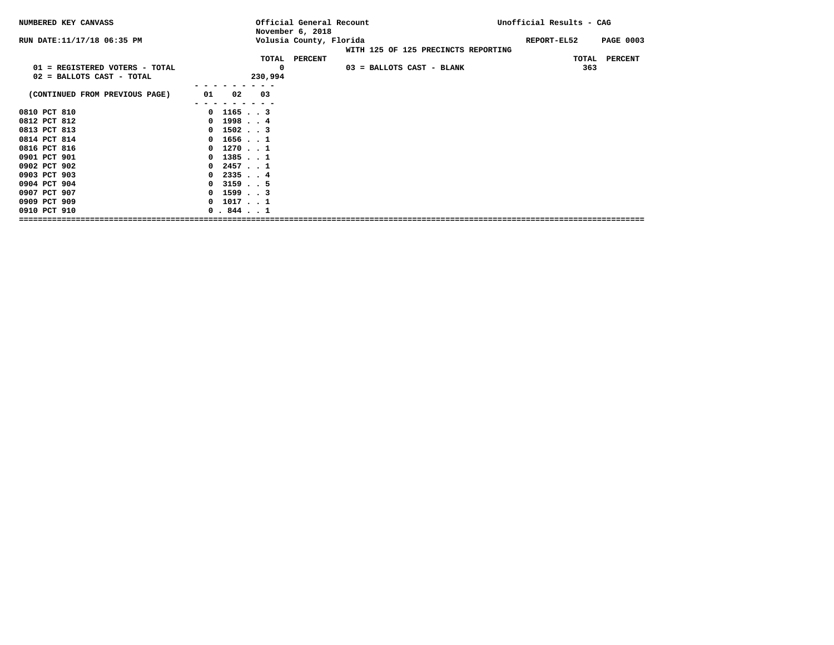| NUMBERED KEY CANVASS                                        |                      |                        | Official General Recount<br>November 6, 2018 |                                     | Unofficial Results - CAG |                                   |
|-------------------------------------------------------------|----------------------|------------------------|----------------------------------------------|-------------------------------------|--------------------------|-----------------------------------|
| RUN DATE: 11/17/18 06:35 PM                                 |                      |                        | Volusia County, Florida<br>TOTAL PERCENT     | WITH 125 OF 125 PRECINCTS REPORTING | REPORT-EL52              | <b>PAGE 0003</b><br>TOTAL PERCENT |
| 01 = REGISTERED VOTERS - TOTAL<br>02 = BALLOTS CAST - TOTAL |                      | $\mathbf 0$<br>230,994 |                                              | 03 = BALLOTS CAST - BLANK           |                          | 363                               |
| (CONTINUED FROM PREVIOUS PAGE)                              | 01 02                | 03                     |                                              |                                     |                          |                                   |
| 0810 PCT 810                                                | $0$ 11653            |                        |                                              |                                     |                          |                                   |
| 0812 PCT 812                                                | $0$ 19984            |                        |                                              |                                     |                          |                                   |
| 0813 PCT 813                                                | $0$ 15023            |                        |                                              |                                     |                          |                                   |
| 0814 PCT 814                                                | $0$ 1656 $\cdot$ $1$ |                        |                                              |                                     |                          |                                   |
| 0816 PCT 816                                                | $0$ 1270. 1          |                        |                                              |                                     |                          |                                   |
| 0901 PCT 901                                                | $0$ 13851            |                        |                                              |                                     |                          |                                   |
| 0902 PCT 902                                                | $0$ 24571            |                        |                                              |                                     |                          |                                   |
| 0903 PCT 903                                                | $0$ 23354            |                        |                                              |                                     |                          |                                   |
| 0904 PCT 904                                                | $0$ 3159 5           |                        |                                              |                                     |                          |                                   |
| 0907 PCT 907                                                | $0$ 1599 $\cdot$ 3   |                        |                                              |                                     |                          |                                   |
| 0909 PCT 909                                                | $0$ 10171            |                        |                                              |                                     |                          |                                   |
| 0910 PCT 910                                                | 0.8441               |                        |                                              |                                     |                          |                                   |
|                                                             |                      |                        |                                              |                                     |                          |                                   |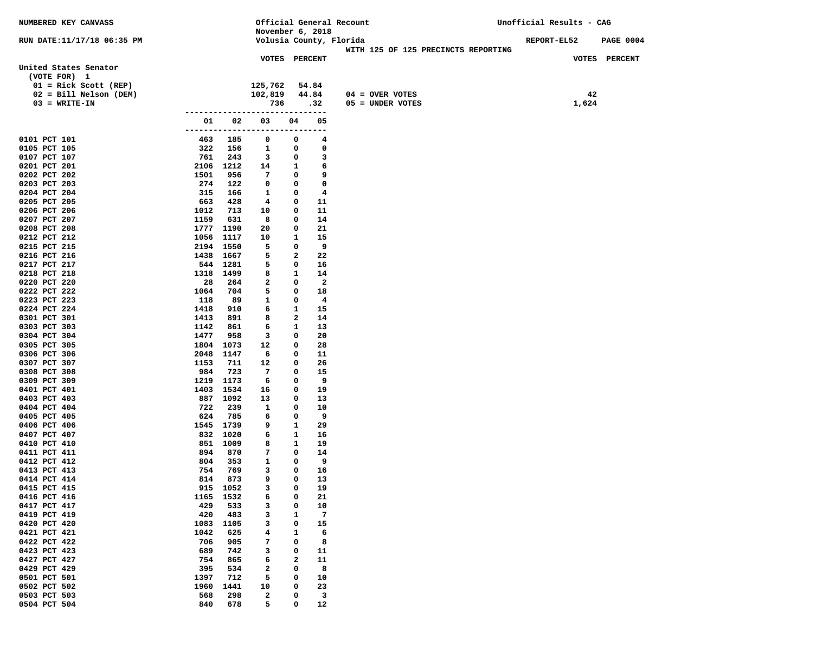| NUMBERED KEY CANVASS         |                   |            |                                 |                  |                          | Official General Recount            | Unofficial Results - CAG |                    |                  |
|------------------------------|-------------------|------------|---------------------------------|------------------|--------------------------|-------------------------------------|--------------------------|--------------------|------------------|
|                              |                   |            | November 6, 2018                |                  |                          |                                     |                          |                    |                  |
| RUN DATE:11/17/18 06:35 PM   |                   |            | Volusia County, Florida         |                  |                          |                                     |                          | <b>REPORT-EL52</b> | <b>PAGE 0004</b> |
|                              |                   |            |                                 |                  |                          | WITH 125 OF 125 PRECINCTS REPORTING |                          |                    |                  |
| United States Senator        |                   |            | <b>VOTES PERCENT</b>            |                  |                          |                                     |                          |                    | VOTES PERCENT    |
| (VOTE FOR) 1                 |                   |            |                                 |                  |                          |                                     |                          |                    |                  |
| $01 =$ Rick Scott (REP)      |                   |            | 125,762                         |                  | 54.84                    |                                     |                          |                    |                  |
| 02 = Bill Nelson (DEM)       |                   |            | 102,819                         |                  | 44.84                    | $04 =$ OVER VOTES                   |                          | 42                 |                  |
| $03 = WRITE-IN$              |                   |            | 736                             |                  | .32                      | 05 = UNDER VOTES                    |                          | 1,624              |                  |
|                              |                   |            | ------------------------------  |                  |                          |                                     |                          |                    |                  |
|                              | 01                | 02         | 03                              | 04               | 05                       |                                     |                          |                    |                  |
|                              |                   |            | ------------------------------- |                  |                          |                                     |                          |                    |                  |
| 0101 PCT 101                 | 463               | 185        | 0                               | 0                | 4                        |                                     |                          |                    |                  |
| 0105 PCT 105                 | 322               | 156        | $\mathbf{1}$                    | 0                | 0                        |                                     |                          |                    |                  |
| 0107 PCT 107                 | 761               | 243        | $\mathbf{3}$                    | 0                | $\overline{\mathbf{3}}$  |                                     |                          |                    |                  |
| 0201 PCT 201                 | 2106 1212         |            | 14                              | $\mathbf{1}$     | $6^{\circ}$              |                                     |                          |                    |                  |
| 0202 PCT 202                 | 1501              | 956        | 7                               | $\mathbf 0$      | و ۔                      |                                     |                          |                    |                  |
| 0203 PCT 203                 | 274               | 122        | $\mathbf 0$                     | $\mathbf 0$      | $\mathbf{o}$             |                                     |                          |                    |                  |
| 0204 PCT 204                 | 315<br>663        | 166<br>428 | $\mathbf{1}$<br>$\overline{4}$  | $\mathbf 0$<br>0 | $\overline{4}$<br>11     |                                     |                          |                    |                  |
| 0205 PCT 205<br>0206 PCT 206 | 1012              | 713        | 10                              | 0                | 11                       |                                     |                          |                    |                  |
| 0207 PCT 207                 | 1159              | 631        | 8                               | 0                | 14                       |                                     |                          |                    |                  |
| 0208 PCT 208                 | 1777 1190         |            | 20                              | 0                | 21                       |                                     |                          |                    |                  |
| 0212 PCT 212                 | 1056 1117         |            | 10                              | 1                | 15                       |                                     |                          |                    |                  |
| 0215 PCT 215                 | 2194 1550         |            | 5                               | 0                | 9                        |                                     |                          |                    |                  |
| 0216 PCT 216                 | 1438 1667         |            | 5                               | 2                | 22                       |                                     |                          |                    |                  |
| 0217 PCT 217                 | 544 1281          |            | 5                               | 0                | 16                       |                                     |                          |                    |                  |
| 0218 PCT 218                 | 1318 1499         |            | 8                               | $\mathbf{1}$     | 14                       |                                     |                          |                    |                  |
| 0220 PCT 220                 | 28                | 264        | $\overline{a}$                  | $\mathbf 0$      | $\overline{\phantom{a}}$ |                                     |                          |                    |                  |
| 0222 PCT 222                 | 1064              | 704        | 5                               | 0                | 18                       |                                     |                          |                    |                  |
| 0223 PCT 223                 | 118               | 89         | $\mathbf{1}$                    | 0                | $\overline{\mathbf{4}}$  |                                     |                          |                    |                  |
| 0224 PCT 224                 | 1418              | 910        | 6                               | $\mathbf{1}$     | 15                       |                                     |                          |                    |                  |
| 0301 PCT 301                 | 1413              | 891        | 8                               | 2                | 14                       |                                     |                          |                    |                  |
| 0303 PCT 303                 | 1142              | 861        | 6                               | $\mathbf{1}$     | 13                       |                                     |                          |                    |                  |
| 0304 PCT 304                 | 1477              | 958        | 3                               | 0                | 20                       |                                     |                          |                    |                  |
| 0305 PCT 305                 | 1804 1073         |            | 12                              | 0                | 28                       |                                     |                          |                    |                  |
| 0306 PCT 306<br>0307 PCT 307 | 2048 1147<br>1153 | 711        | 6<br>12                         | 0<br>0           | 11<br>26                 |                                     |                          |                    |                  |
| 0308 PCT 308                 | 984               | 723        | 7                               | 0                | 15                       |                                     |                          |                    |                  |
| 0309 PCT 309                 | 1219 1173         |            | 6                               | 0                | - 9                      |                                     |                          |                    |                  |
| 0401 PCT 401                 | 1403 1534         |            | 16                              | 0                | 19                       |                                     |                          |                    |                  |
| 0403 PCT 403                 | 887 1092          |            | 13                              | 0                | 13                       |                                     |                          |                    |                  |
| 0404 PCT 404                 | 722               | 239        | 1                               | 0                | 10                       |                                     |                          |                    |                  |
| 0405 PCT 405                 | 624               | 785        | 6                               | 0                | 9                        |                                     |                          |                    |                  |
| 0406 PCT 406                 | 1545 1739         |            | 9                               | 1                | 29                       |                                     |                          |                    |                  |
| 0407 PCT 407                 | 832 1020          |            | 6                               | 1                | 16                       |                                     |                          |                    |                  |
| 0410 PCT 410                 | 851 1009          |            | 8                               | 1                | 19                       |                                     |                          |                    |                  |
| 0411 PCT 411                 | 894               | 870        | 7                               | 0                | 14                       |                                     |                          |                    |                  |
| 0412 PCT 412                 | 804               | 353        | $\mathbf{1}$                    | 0                | 9                        |                                     |                          |                    |                  |
| 0413 PCT 413                 | 754               | 769        | 3                               | 0<br>0           | 16                       |                                     |                          |                    |                  |
| 0414 PCT 414<br>0415 PCT 415 | 814<br>915 1052   | 873        | 9<br>3                          | 0                | 13<br>19                 |                                     |                          |                    |                  |
| 0416 PCT 416                 | 1165              | 1532       | 6                               | 0                | 21                       |                                     |                          |                    |                  |
| 0417 PCT 417                 | 429               | 533        | з                               | 0                | 10                       |                                     |                          |                    |                  |
| 0419 PCT 419                 | 420               | 483        | з                               | 1                | 7                        |                                     |                          |                    |                  |
| 0420 PCT 420                 | 1083              | 1105       | з                               | 0                | 15                       |                                     |                          |                    |                  |
| 0421 PCT 421                 | 1042              | 625        | 4                               | 1                | 6                        |                                     |                          |                    |                  |
| 0422 PCT 422                 | 706               | 905        | 7                               | 0                | 8                        |                                     |                          |                    |                  |
| 0423 PCT 423                 | 689               | 742        | з                               | 0                | 11                       |                                     |                          |                    |                  |
| 0427 PCT 427                 | 754               | 865        | 6                               | 2                | 11                       |                                     |                          |                    |                  |
| 0429 PCT 429                 | 395               | 534        | $\mathbf{2}$                    | 0                | 8                        |                                     |                          |                    |                  |
| 0501 PCT 501                 | 1397              | 712        | 5                               | 0                | 10                       |                                     |                          |                    |                  |
| 0502 PCT 502                 | 1960              | 1441       | 10                              | 0                | 23                       |                                     |                          |                    |                  |
| 0503 PCT 503                 | 568               | 298        | $\mathbf{2}$                    | 0                | 3                        |                                     |                          |                    |                  |
| 0504 PCT 504                 | 840               | 678        | 5                               | 0                | 12                       |                                     |                          |                    |                  |
|                              |                   |            |                                 |                  |                          |                                     |                          |                    |                  |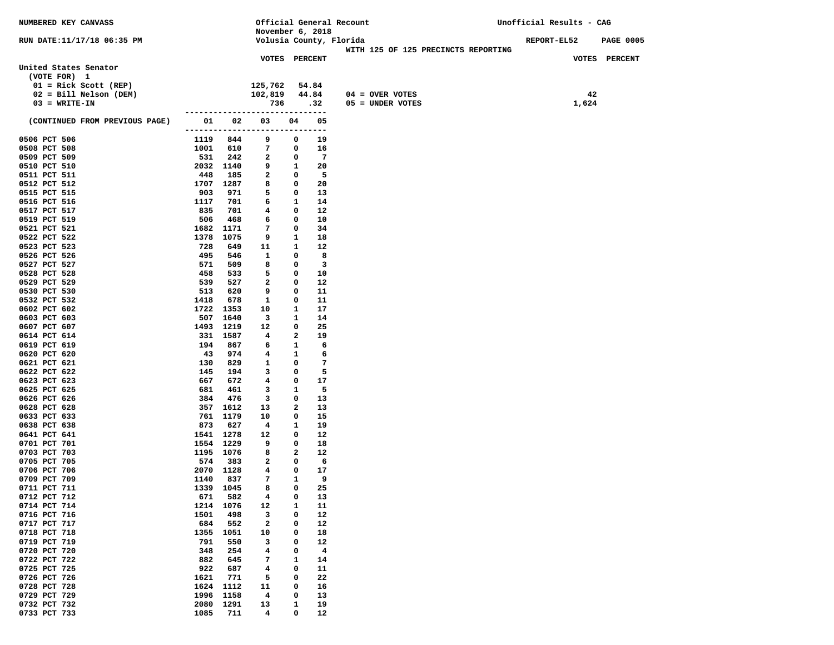| <b>NUMBERED KEY CANVASS</b>                         |             |             | Official General Recount       |              |                          |  |                                         | Unofficial Results - CAG |       |               |
|-----------------------------------------------------|-------------|-------------|--------------------------------|--------------|--------------------------|--|-----------------------------------------|--------------------------|-------|---------------|
|                                                     |             |             | November 6, 2018               |              |                          |  |                                         |                          |       |               |
| RUN DATE:11/17/18 06:35 PM                          |             |             | Volusia County, Florida        |              |                          |  |                                         | REPORT-EL52 PAGE 0005    |       |               |
|                                                     |             |             |                                |              |                          |  | WITH 125 OF 125 PRECINCTS REPORTING     |                          |       |               |
|                                                     |             |             | <b>VOTES PERCENT</b>           |              |                          |  |                                         |                          |       | VOTES PERCENT |
| United States Senator<br>(VOTE FOR) 1               |             |             |                                |              |                          |  |                                         |                          |       |               |
|                                                     |             |             | 125,762                        |              | 54.84                    |  |                                         |                          |       |               |
| $01 =$ Rick Scott (REP)<br>$02 = Bill Nelson (DEM)$ |             |             | 102,819                        |              | 44.84                    |  |                                         |                          | 42    |               |
| $03 = WRTTE-TN$                                     |             |             | 736                            |              | .32                      |  | $04 =$ OVER VOTES<br>$05 =$ UNDER VOTES |                          | 1,624 |               |
|                                                     |             |             | ------------------------------ |              |                          |  |                                         |                          |       |               |
| (CONTINUED FROM PREVIOUS PAGE)                      |             |             | 01 02 03                       | 04           | 05                       |  |                                         |                          |       |               |
|                                                     |             |             | ------------------------------ |              |                          |  |                                         |                          |       |               |
| 0506 PCT 506                                        |             | 1119 844    | 9                              | 0            | 19                       |  |                                         |                          |       |               |
| 0508 PCT 508                                        | 1001        | 610         | 7                              | 0            | 16                       |  |                                         |                          |       |               |
| 0509 PCT 509                                        | 531         | 242         | $\mathbf{2}$                   | 0            | $\overline{7}$           |  |                                         |                          |       |               |
| 0510 PCT 510                                        |             | 2032 1140   | 9                              | $\mathbf{1}$ | 20                       |  |                                         |                          |       |               |
| 0511 PCT 511                                        | 448         | 185         | $\mathbf{2}$                   | $\mathbf{0}$ | - 5                      |  |                                         |                          |       |               |
| 0512 PCT 512                                        |             | 1707 1287   | 8                              | 0            | 20                       |  |                                         |                          |       |               |
| 0515 PCT 515                                        | 903         | 971         | 5                              | $\mathbf 0$  | 13                       |  |                                         |                          |       |               |
| 0516 PCT 516                                        | 1117        | 701         | 6                              | $\mathbf{1}$ | 14                       |  |                                         |                          |       |               |
| 0517 PCT 517                                        | 835         | 701         | 4                              | 0            | 12                       |  |                                         |                          |       |               |
| 0519 PCT 519                                        | 506         | 468         | 6                              | $\mathbf 0$  | 10                       |  |                                         |                          |       |               |
| 0521 PCT 521                                        |             | 1682 1171   | 7                              | 0            | 34                       |  |                                         |                          |       |               |
| 0522 PCT 522                                        | 1378        | 1075        | 9                              | 1            | 18                       |  |                                         |                          |       |               |
| 0523 PCT 523                                        | 728         | 649         | 11                             | 1            | 12<br>8                  |  |                                         |                          |       |               |
| 0526 PCT 526<br>0527 PCT 527                        | 495<br>571  | 546<br>509  | 1<br>8                         | 0<br>0       | $\overline{\phantom{a}}$ |  |                                         |                          |       |               |
| 0528 PCT 528                                        | 458         | 533         | 5                              | 0            | 10                       |  |                                         |                          |       |               |
| 0529 PCT 529                                        | 539         | 527         | 2                              | 0            | 12                       |  |                                         |                          |       |               |
| 0530 PCT 530                                        | 513         | 620         | 9                              | 0            | 11                       |  |                                         |                          |       |               |
| 0532 PCT 532                                        | 1418        | 678         | 1                              | 0            | 11                       |  |                                         |                          |       |               |
| 0602 PCT 602                                        |             | 1722 1353   | 10                             | $\mathbf{1}$ | 17                       |  |                                         |                          |       |               |
| 0603 PCT 603                                        | 507         | 1640        | $\mathbf{3}$                   | 1            | 14                       |  |                                         |                          |       |               |
| 0607 PCT 607                                        |             | 1493 1219   | 12                             | 0            | 25                       |  |                                         |                          |       |               |
| 0614 PCT 614                                        |             | 331 1587    | 4                              | 2            | 19                       |  |                                         |                          |       |               |
| 0619 PCT 619                                        | 194         | 867         | 6                              | 1            | - 6                      |  |                                         |                          |       |               |
| 0620 PCT 620                                        | 43          | 974         | 4                              | 1            | - 6                      |  |                                         |                          |       |               |
| 0621 PCT 621                                        | 130         | 829         | 1                              | 0            | $\overline{7}$           |  |                                         |                          |       |               |
| 0622 PCT 622                                        | 145         | 194         | 3                              | 0            | - 5                      |  |                                         |                          |       |               |
| 0623 PCT 623                                        | 667<br>681  | 672<br>461  | 4                              | 0            | 17<br>- 5                |  |                                         |                          |       |               |
| 0625 PCT 625<br>0626 PCT 626                        | 384         | 476         | 3<br>3                         | 1<br>0       | 13                       |  |                                         |                          |       |               |
| 0628 PCT 628                                        |             | 357 1612    | 13                             | 2            | 13                       |  |                                         |                          |       |               |
| 0633 PCT 633                                        |             | 761 1179    | 10                             | 0            | 15                       |  |                                         |                          |       |               |
| 0638 PCT 638                                        | 873         | 627         | $\overline{4}$                 | 1            | 19                       |  |                                         |                          |       |               |
| 0641 PCT 641                                        |             | 1541 1278   | 12                             | 0            | 12                       |  |                                         |                          |       |               |
| 0701 PCT 701                                        |             | 1554 1229   | 9                              | 0            | 18                       |  |                                         |                          |       |               |
| 0703 PCT 703                                        |             | 1195 1076   | 8                              | $\mathbf{2}$ | 12                       |  |                                         |                          |       |               |
| 0705 PCT 705                                        | 574         | - 383       | 2                              | 0            | - 6                      |  |                                         |                          |       |               |
| 0706 PCT 706                                        |             | 2070 1128   | $4\phantom{1}$                 | $\mathbf{o}$ | 17                       |  |                                         |                          |       |               |
| 0709 PCT 709                                        | 1140        | 837         | 7                              | $\mathbf{1}$ | 9                        |  |                                         |                          |       |               |
| 0711 PCT 711                                        |             | 1339 1045   | 8                              | 0            | 25                       |  |                                         |                          |       |               |
| 0712 PCT 712                                        | 671         | 582         | 4                              | 0            | 13                       |  |                                         |                          |       |               |
| 0714 PCT 714                                        | 1214        | 1076        | 12                             | 1            | 11                       |  |                                         |                          |       |               |
| 0716 PCT 716                                        | 1501        | 498         | з                              | 0            | 12                       |  |                                         |                          |       |               |
| 0717 PCT 717                                        | 684         | 552         | 2                              | 0            | 12                       |  |                                         |                          |       |               |
| 0718 PCT 718<br>0719 PCT 719                        | 1355<br>791 | 1051<br>550 | 10<br>з                        | 0<br>0       | 18<br>12                 |  |                                         |                          |       |               |
| 0720 PCT 720                                        | 348         | 254         | 4                              | 0            | 4                        |  |                                         |                          |       |               |
| 0722 PCT 722                                        | 882         | 645         | 7                              | 1            | 14                       |  |                                         |                          |       |               |
| 0725 PCT 725                                        | 922         | 687         | 4                              | 0            | 11                       |  |                                         |                          |       |               |
| 0726 PCT 726                                        | 1621        | 771         | 5                              | 0            | 22                       |  |                                         |                          |       |               |
| 0728 PCT 728                                        | 1624        | 1112        | 11                             | 0            | 16                       |  |                                         |                          |       |               |
| 0729 PCT 729                                        | 1996        | 1158        | 4                              | 0            | 13                       |  |                                         |                          |       |               |
| 0732 PCT 732                                        | 2080        | 1291        | 13                             | 1            | 19                       |  |                                         |                          |       |               |
| 0733 PCT 733                                        | 1085        | 711         | 4                              | 0            | 12                       |  |                                         |                          |       |               |
|                                                     |             |             |                                |              |                          |  |                                         |                          |       |               |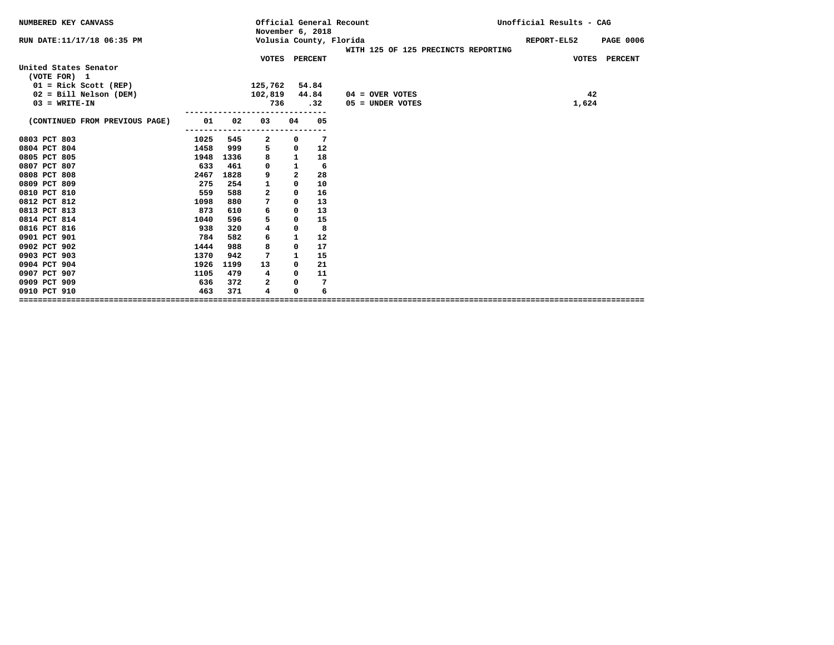|      |            |                         |                |           |                                                                                        | Unofficial Results - CAG                                                  |
|------|------------|-------------------------|----------------|-----------|----------------------------------------------------------------------------------------|---------------------------------------------------------------------------|
|      |            |                         |                |           | WITH 125 OF 125 PRECINCTS REPORTING                                                    | REPORT-EL52<br><b>PAGE 0006</b>                                           |
|      |            |                         |                |           |                                                                                        | VOTES PERCENT                                                             |
|      |            |                         |                |           |                                                                                        |                                                                           |
|      |            |                         |                |           |                                                                                        |                                                                           |
|      |            |                         |                |           |                                                                                        |                                                                           |
|      |            |                         |                |           | $04 =$ OVER VOTES                                                                      | 42                                                                        |
|      |            |                         |                |           |                                                                                        | 1,624                                                                     |
|      |            |                         |                |           |                                                                                        |                                                                           |
|      |            |                         |                |           |                                                                                        |                                                                           |
|      |            |                         | 0              | 7         |                                                                                        |                                                                           |
| 1458 | 999        |                         | 0              |           |                                                                                        |                                                                           |
| 1948 | 1336       | 8                       | $\mathbf{1}$   | 18        |                                                                                        |                                                                           |
| 633  | 461        | 0                       | $\mathbf{1}$   | 6         |                                                                                        |                                                                           |
| 2467 | 1828       | 9                       | $\overline{a}$ | 28        |                                                                                        |                                                                           |
| 275  | 254        | 1                       | 0              | 10        |                                                                                        |                                                                           |
| 559  | 588        | $\overline{\mathbf{2}}$ | 0              | 16        |                                                                                        |                                                                           |
| 1098 | 880        | 7                       | 0              | 13        |                                                                                        |                                                                           |
| 873  | 610        | 6                       | 0              | 13        |                                                                                        |                                                                           |
| 1040 | 596        | 5                       | 0              | 15        |                                                                                        |                                                                           |
| 938  | 320        | 4                       | 0              | 8         |                                                                                        |                                                                           |
| 784  | 582        | 6                       | 1              | 12        |                                                                                        |                                                                           |
| 1444 | 988        | 8                       | 0              | 17        |                                                                                        |                                                                           |
| 1370 | 942        | 7                       | 1              | 15        |                                                                                        |                                                                           |
| 1926 | 1199       | 13                      | 0              | 21        |                                                                                        |                                                                           |
| 1105 | 479        | 4                       | 0              | 11        |                                                                                        |                                                                           |
| 636  | 372        | 2                       | 0              | 7         |                                                                                        |                                                                           |
| 463  | 371        | 4                       | 0              | 6         |                                                                                        |                                                                           |
|      | 01<br>1025 | 02<br>----------<br>545 | 03<br>2<br>5   | 736<br>04 | November 6, 2018<br>VOTES PERCENT<br>125,762 54.84<br>102,819 44.84<br>.32<br>05<br>12 | Official General Recount<br>Volusia County, Florida<br>$05 =$ UNDER VOTES |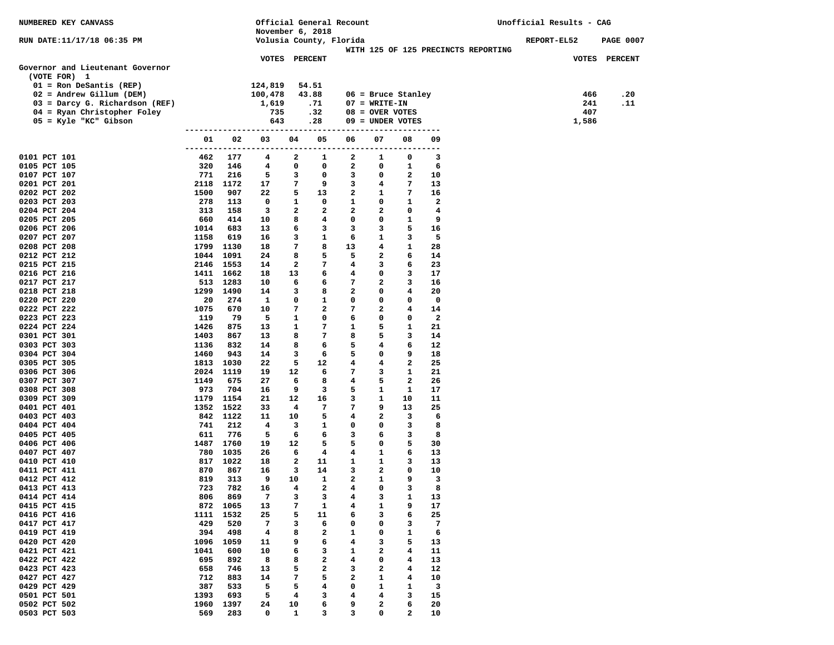| NUMBERED KEY CANVASS                                 |             |                        | Official General Recount<br>November 6, 2018 |                    |                  |                        |                                       |                         | Unofficial Results - CAG            |  |                    |              |                  |
|------------------------------------------------------|-------------|------------------------|----------------------------------------------|--------------------|------------------|------------------------|---------------------------------------|-------------------------|-------------------------------------|--|--------------------|--------------|------------------|
| RUN DATE:11/17/18 06:35 PM                           |             |                        | Volusia County, Florida                      |                    |                  |                        |                                       |                         |                                     |  | <b>REPORT-EL52</b> |              | <b>PAGE 0007</b> |
|                                                      |             |                        | VOTES PERCENT                                |                    |                  |                        |                                       |                         | WITH 125 OF 125 PRECINCTS REPORTING |  |                    |              | VOTES PERCENT    |
| Governor and Lieutenant Governor<br>(VOTE FOR) 1     |             |                        |                                              |                    |                  |                        |                                       |                         |                                     |  |                    |              |                  |
| $01 =$ Ron DeSantis (REP)                            |             |                        | 124,819                                      |                    | 54.51            |                        |                                       |                         |                                     |  |                    |              |                  |
| $02$ = Andrew Gillum (DEM)                           |             |                        | 100,478                                      |                    | 43.88            |                        |                                       | $06$ = Bruce Stanley    |                                     |  |                    | 466          | .20              |
| 03 = Darcy G. Richardson (REF)                       |             |                        | 1,619                                        |                    | .71              |                        | $07 = WRTTE-TN$                       |                         |                                     |  |                    | 241          | .11              |
| 04 = Ryan Christopher Foley<br>05 = Kyle "KC" Gibson |             |                        | 735<br>643                                   |                    | .32<br>.28       |                        | $08 =$ OVER VOTES<br>09 = UNDER VOTES |                         |                                     |  |                    | 407<br>1,586 |                  |
|                                                      |             |                        | ----------------------                       |                    | ---------------- |                        | ------                                | ---------               |                                     |  |                    |              |                  |
|                                                      | 01          | 02                     | 03<br>---------------------------            | 04                 | 05               | 06<br>---------------- | 07                                    | 08<br>---------         | 09                                  |  |                    |              |                  |
| 0101 PCT 101                                         | 462         | 177                    | 4                                            | 2                  | 1                | 2                      | 1                                     | 0                       | 3                                   |  |                    |              |                  |
| 0105 PCT 105                                         | 320         | 146                    | 4                                            | 0                  | 0                | $\mathbf{2}$           | 0                                     | 1                       | 6                                   |  |                    |              |                  |
| 0107 PCT 107                                         | 771         | 216                    | 5                                            | 3                  | 0                | 3                      | 0                                     | 2                       | 10                                  |  |                    |              |                  |
| 0201 PCT 201                                         |             | 2118 1172              | 17                                           | 7                  | 9                | 3                      | 4                                     | 7                       | 13                                  |  |                    |              |                  |
| 0202 PCT 202                                         | 1500        | 907                    | 22                                           | 5                  | 13               | $\mathbf{2}$           | 1                                     | 7                       | 16                                  |  |                    |              |                  |
| 0203 PCT 203<br>0204 PCT 204                         | 278<br>313  | 113<br>158             | 0<br>3                                       | 1<br>2             | 0<br>2           | 1<br>2                 | 0<br>2                                | 1<br>0                  | $\mathbf{2}$<br>4                   |  |                    |              |                  |
| 0205 PCT 205                                         | 660         | 414                    | 10                                           | 8                  | 4                | 0                      | 0                                     | 1                       | 9                                   |  |                    |              |                  |
| 0206 PCT 206                                         | 1014        | 683                    | 13                                           | 6                  | 3                | 3                      | 3                                     | 5                       | 16                                  |  |                    |              |                  |
| 0207 PCT 207                                         | 1158        | 619                    | 16                                           | 3                  | $\mathbf{1}$     | 6                      | 1                                     | 3                       | 5                                   |  |                    |              |                  |
| 0208 PCT 208                                         | 1799 1130   |                        | 18                                           | 7                  | 8                | 13                     | 4                                     | 1                       | 28                                  |  |                    |              |                  |
| 0212 PCT 212                                         | 1044 1091   |                        | 24                                           | 8                  | 5                | 5                      | $\mathbf{2}$                          | 6                       | 14                                  |  |                    |              |                  |
| 0215 PCT 215                                         |             | 2146 1553              | 14                                           | 2                  | 7                | 4                      | 3                                     | 6                       | 23                                  |  |                    |              |                  |
| 0216 PCT 216                                         |             | 1411 1662              | 18                                           | 13                 | 6                | 4                      | 0                                     | 3                       | 17                                  |  |                    |              |                  |
| 0217 PCT 217<br>0218 PCT 218                         |             | 513 1283<br>1299 1490  | 10<br>14                                     | 6<br>3             | 6<br>8           | 7<br>2                 | 2<br>0                                | 3<br>4                  | 16<br>20                            |  |                    |              |                  |
| 0220 PCT 220                                         | 20          | 274                    | 1                                            | 0                  | 1                | 0                      | 0                                     | 0                       | $\mathbf 0$                         |  |                    |              |                  |
| 0222 PCT 222                                         | 1075        | 670                    | 10                                           | 7                  | 2                | 7                      | 2                                     | 4                       | 14                                  |  |                    |              |                  |
| 0223 PCT 223                                         | 119         | 79                     | 5                                            | 1                  | 0                | 6                      | 0                                     | 0                       | $\mathbf{2}$                        |  |                    |              |                  |
| 0224 PCT 224                                         | 1426        | 875                    | 13                                           | 1                  | 7                | 1                      | 5                                     | 1                       | 21                                  |  |                    |              |                  |
| 0301 PCT 301                                         | 1403        | 867                    | 13                                           | 8                  | 7                | 8                      | 5                                     | 3                       | 14                                  |  |                    |              |                  |
| 0303 PCT 303                                         | 1136        | 832                    | 14                                           | 8                  | 6                | 5                      | 4                                     | 6                       | 12                                  |  |                    |              |                  |
| 0304 PCT 304                                         | 1460        | 943                    | 14                                           | 3                  | 6                | 5                      | 0                                     | 9                       | 18                                  |  |                    |              |                  |
| 0305 PCT 305<br>0306 PCT 306                         |             | 1813 1030<br>2024 1119 | 22<br>19                                     | 5<br>12            | 12<br>6          | 4<br>7                 | 4<br>3                                | 2<br>1                  | 25<br>21                            |  |                    |              |                  |
| 0307 PCT 307                                         | 1149        | 675                    | 27                                           | 6                  | 8                | 4                      | 5                                     | $\mathbf{2}$            | 26                                  |  |                    |              |                  |
| 0308 PCT 308                                         | 973         | 704                    | 16                                           | 9                  | 3                | 5                      | 1                                     | 1                       | 17                                  |  |                    |              |                  |
| 0309 PCT 309                                         |             | 1179 1154              | 21                                           | 12                 | 16               | 3                      | 1                                     | 10                      | 11                                  |  |                    |              |                  |
| 0401 PCT 401                                         |             | 1352 1522              | 33                                           | 4                  | 7                | 7                      | 9                                     | 13                      | 25                                  |  |                    |              |                  |
| 0403 PCT 403                                         |             | 842 1122               | 11                                           | 10                 | 5                | 4                      | 2                                     | $\overline{\mathbf{3}}$ | 6                                   |  |                    |              |                  |
| 0404 PCT 404                                         | 741         | 212                    | 4                                            | 3                  | $\mathbf{1}$     | 0                      | 0                                     | 3                       | 8                                   |  |                    |              |                  |
| 0405 PCT 405                                         | 611         | 776                    | 5                                            | 6                  | 6                | 3                      | 6                                     | 3                       | 8                                   |  |                    |              |                  |
| 0406 PCT 406<br>0407 PCT 407                         |             | 1487 1760<br>780 1035  | 19<br>26                                     | 12<br>6            | 5<br>4           | 5<br>4                 | $\mathbf 0$<br>1                      | 5<br>6                  | 30<br>13                            |  |                    |              |                  |
| 0410 PCT 410                                         |             | 817 1022               | 18                                           | 2                  | 11               | 1                      | 1                                     | 3                       | 13                                  |  |                    |              |                  |
| 0411 PCT 411                                         | 870         | 867                    | 16                                           | 3                  | 14               | 3                      | 2                                     | 0                       | 10                                  |  |                    |              |                  |
| 0412 PCT 412                                         | 819         | 313                    | 9                                            | 10                 | 1                | $\overline{a}$         | 1                                     | 9                       | 3                                   |  |                    |              |                  |
| 0413 PCT 413                                         | 723         | 782                    | 16                                           | 4                  | $\overline{a}$   | 4                      | $\Omega$                              | 3                       | 8                                   |  |                    |              |                  |
| 0414 PCT 414                                         | 806         | 869                    | 7                                            | з                  | 3                | 4                      | з                                     | 1                       | 13                                  |  |                    |              |                  |
| 0415 PCT 415                                         |             | 872 1065               | 13                                           | 7                  | $\mathbf{1}$     | 4                      | $\mathbf{1}$                          | 9                       | 17                                  |  |                    |              |                  |
| 0416 PCT 416                                         | 1111        | 1532                   | 25                                           | 5                  | 11               | 6                      | 3                                     | 6                       | 25                                  |  |                    |              |                  |
| 0417 PCT 417<br>0419 PCT 419                         | 429<br>394  | 520<br>498             | 7<br>$\overline{4}$                          | 3<br>8             | 6<br>2           | 0<br>1                 | 0<br>0                                | 3<br>$\mathbf{1}$       | 7<br>6                              |  |                    |              |                  |
| 0420 PCT 420                                         | 1096        | 1059                   | 11                                           | 9                  | 6                | 4                      | 3                                     | 5                       | 13                                  |  |                    |              |                  |
| 0421 PCT 421                                         | 1041        | 600                    | 10                                           | 6                  | 3                | 1                      | 2                                     | 4                       | 11                                  |  |                    |              |                  |
| 0422 PCT 422                                         | 695         | 892                    | 8                                            | 8                  | $\mathbf{2}$     | 4                      | 0                                     | 4                       | 13                                  |  |                    |              |                  |
| 0423 PCT 423                                         | 658         | 746                    | 13                                           | 5                  | $\mathbf{2}$     | 3                      | 2                                     | 4                       | 12                                  |  |                    |              |                  |
| 0427 PCT 427                                         | 712         | 883                    | 14                                           | 7                  | 5                | $\mathbf{2}$           | 1                                     | 4                       | 10                                  |  |                    |              |                  |
| 0429 PCT 429                                         | 387         | 533                    | 5                                            | 5                  | 4                | 0                      | 1                                     | 1                       | 3                                   |  |                    |              |                  |
| 0501 PCT 501                                         | 1393        | 693                    | 5                                            | 4                  | 3                | 4                      | 4                                     | 3                       | 15                                  |  |                    |              |                  |
| 0502 PCT 502<br>0503 PCT 503                         | 1960<br>569 | 1397<br>283            | 24<br>0                                      | 10<br>$\mathbf{1}$ | 6<br>3           | 9<br>3                 | 2<br>0                                | 6<br>2                  | 20<br>10                            |  |                    |              |                  |
|                                                      |             |                        |                                              |                    |                  |                        |                                       |                         |                                     |  |                    |              |                  |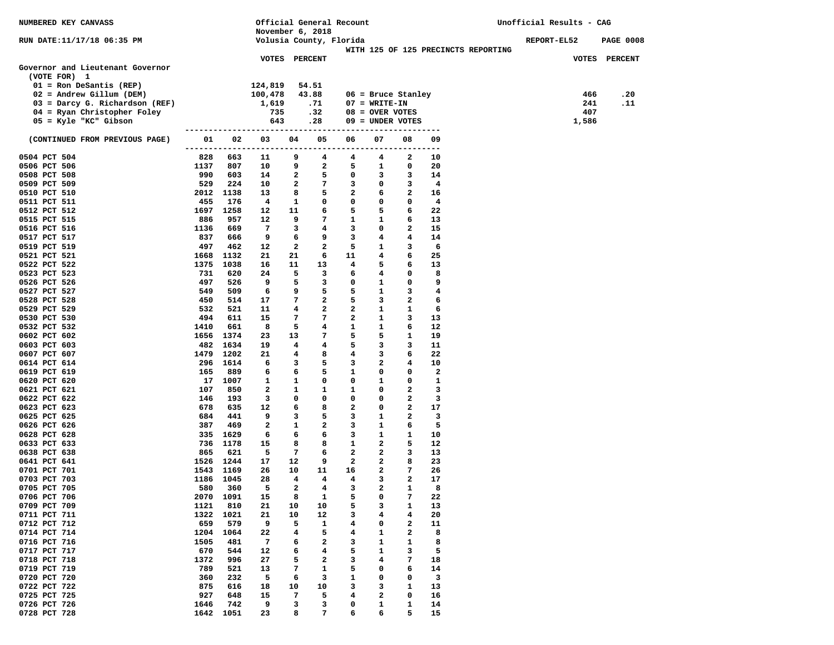| NUMBERED KEY CANVASS                             |             |                       | November 6, 2018     |                                   | Official General Recount |                |                                |                     |                                     | Unofficial Results - CAG |       |                  |
|--------------------------------------------------|-------------|-----------------------|----------------------|-----------------------------------|--------------------------|----------------|--------------------------------|---------------------|-------------------------------------|--------------------------|-------|------------------|
| RUN DATE:11/17/18 06:35 PM                       |             |                       |                      |                                   | Volusia County, Florida  |                |                                |                     |                                     | <b>REPORT-EL52</b>       |       | <b>PAGE 0008</b> |
|                                                  |             |                       |                      |                                   |                          |                |                                |                     | WITH 125 OF 125 PRECINCTS REPORTING |                          |       |                  |
|                                                  |             |                       | <b>VOTES PERCENT</b> |                                   |                          |                |                                |                     |                                     |                          |       | VOTES PERCENT    |
| Governor and Lieutenant Governor<br>(VOTE FOR) 1 |             |                       |                      |                                   |                          |                |                                |                     |                                     |                          |       |                  |
| $01 =$ Ron DeSantis (REP)                        |             |                       | 124,819              |                                   | 54.51                    |                |                                |                     |                                     |                          |       |                  |
| $02$ = Andrew Gillum (DEM)                       |             |                       | 100,478              |                                   | 43.88                    |                | $06$ = Bruce Stanley           |                     |                                     |                          | 466   | .20              |
| 03 = Darcy G. Richardson (REF)                   |             |                       | 1,619                |                                   | .71                      |                | $07 = WRTTE-TN$                |                     |                                     |                          | 241   | .11              |
| 04 = Ryan Christopher Foley                      |             |                       | 735                  |                                   | .32                      |                | $08 =$ OVER VOTES              |                     |                                     |                          | 407   |                  |
| 05 = Kyle "KC" Gibson                            |             |                       | 643                  |                                   | .28                      |                | 09 = UNDER VOTES               |                     |                                     |                          | 1,586 |                  |
|                                                  |             |                       |                      |                                   |                          |                |                                |                     |                                     |                          |       |                  |
| (CONTINUED FROM PREVIOUS PAGE)                   | 01          | 02                    | 03                   | 04                                | 05                       | 06             | 07                             | 08<br>---------     | 09                                  |                          |       |                  |
| 0504 PCT 504                                     | 828         | 663                   | 11                   | 9                                 | 4                        | 4              | 4                              | 2                   | 10                                  |                          |       |                  |
| 0506 PCT 506                                     | 1137        | 807                   | 10                   | 9                                 | $\mathbf{2}$             | 5              | 1                              | 0                   | 20                                  |                          |       |                  |
| 0508 PCT 508                                     | 990         | 603                   | 14                   | 2                                 | 5                        | 0              | 3                              | 3                   | 14                                  |                          |       |                  |
| 0509 PCT 509                                     | 529         | 224                   | 10                   | $\overline{a}$                    | 7                        | 3              | $\mathbf 0$                    | 3                   | 4                                   |                          |       |                  |
| 0510 PCT 510                                     |             | 2012 1138             | 13                   | 8                                 | 5                        | $\mathbf{2}$   | 6                              | $\mathbf{2}$        | 16                                  |                          |       |                  |
| 0511 PCT 511                                     | 455         | 176                   | $\overline{4}$       | $\mathbf{1}$                      | 0                        | 0              | 0                              | $\mathbf 0$         | $\overline{4}$                      |                          |       |                  |
| 0512 PCT 512                                     |             | 1697 1258             | 12                   | 11                                | 6                        | 5              | 5                              | 6                   | 22                                  |                          |       |                  |
| 0515 PCT 515                                     | 886         | 957                   | 12                   | 9                                 | 7                        | 1              | $\mathbf{1}$                   | 6                   | 13                                  |                          |       |                  |
| 0516 PCT 516                                     | 1136        | 669                   | $\overline{7}$       | 3                                 | $\overline{4}$           | 3              | 0                              | $\mathbf{2}$        | 15                                  |                          |       |                  |
| 0517 PCT 517<br>0519 PCT 519                     | 837<br>497  | 666<br>462            | 9<br>12              | 6<br>$\overline{a}$               | 9<br>$\overline{a}$      | 3<br>5         | $\overline{4}$<br>$\mathbf{1}$ | $4\phantom{1}$<br>3 | 14<br>6                             |                          |       |                  |
| 0521 PCT 521                                     | 1668        | 1132                  | 21                   | 21                                | 6                        | 11             | $\overline{4}$                 | 6                   | 25                                  |                          |       |                  |
| 0522 PCT 522                                     | 1375        | 1038                  | 16                   | 11                                | 13                       | 4              | 5                              | 6                   | 13                                  |                          |       |                  |
| 0523 PCT 523                                     | 731         | 620                   | 24                   | 5                                 | $\overline{\mathbf{3}}$  | 6              | 4                              | $\mathbf 0$         | 8                                   |                          |       |                  |
| 0526 PCT 526                                     | 497         | 526                   | 9                    | 5                                 | 3                        | 0              | $\mathbf{1}$                   | $\mathbf 0$         | 9                                   |                          |       |                  |
| 0527 PCT 527                                     | 549         | 509                   | 6                    | 9                                 | 5                        | 5              | $\mathbf{1}$                   | 3                   | 4                                   |                          |       |                  |
| 0528 PCT 528                                     | 450         | 514                   | 17                   | 7                                 | $\mathbf{2}$             | 5              | 3                              | $\mathbf{2}$        | 6                                   |                          |       |                  |
| 0529 PCT 529                                     | 532         | 521                   | 11                   | 4                                 | $\mathbf{2}$             | $\mathbf{2}$   | 1                              | $\mathbf{1}$        | 6                                   |                          |       |                  |
| 0530 PCT 530                                     | 494         | 611                   | 15                   | 7                                 | 7                        | $\mathbf{2}$   | $\mathbf{1}$                   | 3                   | 13                                  |                          |       |                  |
| 0532 PCT 532                                     | 1410        | 661                   | 8                    | 5                                 | $4\phantom{1}$           | 1              | $\mathbf{1}$                   | 6                   | 12                                  |                          |       |                  |
| 0602 PCT 602                                     |             | 1656 1374             | 23                   | 13                                | $7^{\circ}$              | 5              | 5                              | $\mathbf{1}$        | 19                                  |                          |       |                  |
| 0603 PCT 603                                     |             | 482 1634              | 19<br>21             | $\overline{4}$<br>$4\overline{ }$ | $4\phantom{1}$<br>8      | 5<br>4         | 3<br>3                         | 3<br>6              | 11<br>22                            |                          |       |                  |
| 0607 PCT 607<br>0614 PCT 614                     |             | 1479 1202<br>296 1614 | 6                    | 3                                 | 5                        | 3              | 2                              | $\overline{4}$      | 10                                  |                          |       |                  |
| 0619 PCT 619                                     | 165         | 889                   | 6                    | 6                                 | 5                        | 1              | 0                              | $\mathbf 0$         | $\mathbf{2}$                        |                          |       |                  |
| 0620 PCT 620                                     |             | 17 1007               | 1                    | $\mathbf{1}$                      | 0                        | 0              | $\mathbf{1}$                   | $\mathbf 0$         | $\mathbf{1}$                        |                          |       |                  |
| 0621 PCT 621                                     | 107         | 850                   | 2                    | 1                                 | 1                        | 1              | $\mathbf 0$                    | $\mathbf{2}$        | 3                                   |                          |       |                  |
| 0622 PCT 622                                     | 146         | 193                   | 3                    | 0                                 | 0                        | 0              | $^{\circ}$                     | $\mathbf{2}$        | 3                                   |                          |       |                  |
| 0623 PCT 623                                     | 678         | 635                   | 12                   | 6                                 | 8                        | 2              | 0                              | $\mathbf{2}$        | 17                                  |                          |       |                  |
| 0625 PCT 625                                     | 684         | 441                   | 9                    | 3                                 | 5                        | 3              | 1                              | $\mathbf{2}$        | 3                                   |                          |       |                  |
| 0626 PCT 626                                     | 387         | 469                   | 2                    | $\mathbf{1}$                      | $\mathbf{2}$             | 3              | $\mathbf{1}$                   | 6                   | 5                                   |                          |       |                  |
| 0628 PCT 628                                     |             | 335 1629              | 6                    | 6                                 | 6                        | 3              | $\mathbf{1}$                   | 1                   | 10                                  |                          |       |                  |
| 0633 PCT 633<br>0638 PCT 638                     | 865         | 736 1178<br>621       | 15<br>5              | 8<br>7                            | 8<br>6                   | 1<br>2         | $\overline{a}$<br>$\mathbf{2}$ | 5<br>3              | 12<br>13                            |                          |       |                  |
| 0641 PCT 641                                     |             | 1526 1244             | 17                   | 12                                | 9                        | $\overline{a}$ | 2                              | 8                   | 23                                  |                          |       |                  |
| 0701 PCT 701                                     |             | 1543 1169             | 26                   | 10                                | 11                       | 16             | 2                              | 7                   | 26                                  |                          |       |                  |
| 0703 PCT 703                                     |             | 1186 1045             | 28                   | $\overline{\mathbf{4}}$           | $\overline{4}$           | 4              | 3                              | $\overline{a}$      | 17                                  |                          |       |                  |
| 0705 PCT 705                                     |             | 580 360               | 5                    | $2^{\circ}$                       | $\overline{\mathbf{4}}$  | 3              | $\overline{2}$                 | $\mathbf{1}$        | 8                                   |                          |       |                  |
| 0706 PCT 706                                     |             | 2070 1091             | 15                   | 8                                 | 1                        | 5              | 0                              | 7                   | 22                                  |                          |       |                  |
| 0709 PCT 709                                     | 1121        | 810                   | 21                   | 10                                | 10                       | 5              | 3                              | 1                   | 13                                  |                          |       |                  |
| 0711 PCT 711                                     | 1322        | 1021                  | 21                   | 10                                | 12                       | 3              | 4                              | 4                   | 20                                  |                          |       |                  |
| 0712 PCT 712                                     | 659         | 579                   | 9                    | 5                                 | 1                        | 4              | 0                              | $\mathbf{2}$        | 11                                  |                          |       |                  |
| 0714 PCT 714                                     | 1204        | 1064                  | 22                   | 4                                 | 5                        | 4              | 1                              | 2                   | 8                                   |                          |       |                  |
| 0716 PCT 716<br>0717 PCT 717                     | 1505<br>670 | 481<br>544            | 7<br>12              | 6<br>6                            | 2<br>4                   | 3<br>5         | 1<br>1                         | 1<br>3              | 8<br>5                              |                          |       |                  |
| 0718 PCT 718                                     | 1372        | 996                   | 27                   | 5                                 | 2                        | з              | 4                              | 7                   | 18                                  |                          |       |                  |
| 0719 PCT 719                                     | 789         | 521                   | 13                   | 7                                 | 1                        | 5              | 0                              | 6                   | 14                                  |                          |       |                  |
| 0720 PCT 720                                     | 360         | 232                   | 5                    | 6                                 | 3                        | 1              | 0                              | 0                   | 3                                   |                          |       |                  |
| 0722 PCT 722                                     | 875         | 616                   | 18                   | 10                                | 10                       | 3              | 3                              | 1                   | 13                                  |                          |       |                  |
| 0725 PCT 725                                     | 927         | 648                   | 15                   | 7                                 | 5                        | 4              | 2                              | 0                   | 16                                  |                          |       |                  |
| 0726 PCT 726                                     | 1646        | 742                   | 9                    | 3                                 | 3                        | 0              | 1                              | 1                   | 14                                  |                          |       |                  |
| 0728 PCT 728                                     |             | 1642 1051             | 23                   | 8                                 | 7                        | 6              | 6                              | 5                   | 15                                  |                          |       |                  |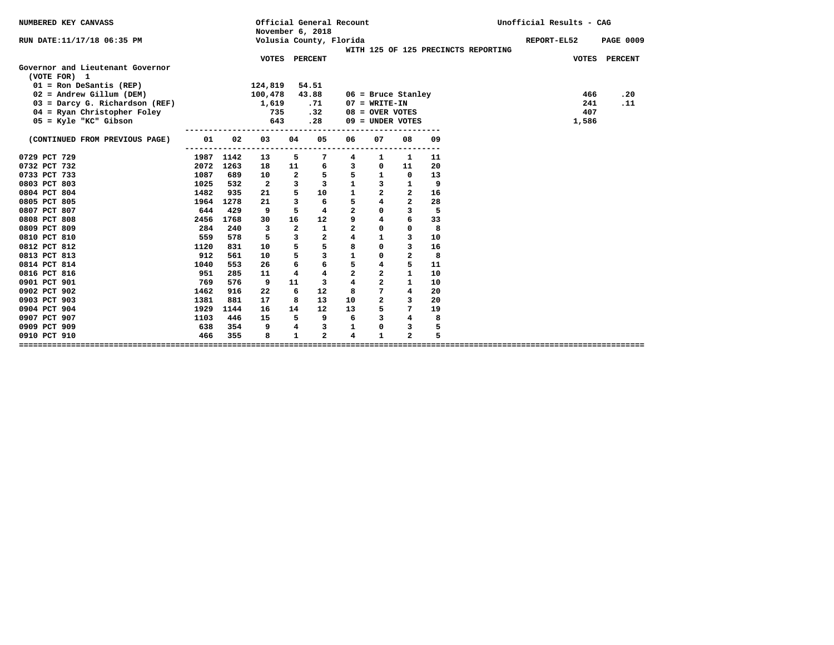| November 6, 2018                                                                                                                    | <b>PAGE 0009</b> |
|-------------------------------------------------------------------------------------------------------------------------------------|------------------|
| Volusia County, Florida<br>RUN DATE:11/17/18 06:35 PM<br>REPORT-EL52                                                                |                  |
| WITH 125 OF 125 PRECINCTS REPORTING                                                                                                 |                  |
| VOTES PERCENT                                                                                                                       | VOTES PERCENT    |
| Governor and Lieutenant Governor                                                                                                    |                  |
| (VOTE FOR) 1                                                                                                                        |                  |
| $01 =$ Ron DeSantis (REP)<br>124,819<br>54.51                                                                                       |                  |
| $02$ = Andrew Gillum (DEM)<br>43.88<br>100,478<br>$06$ = Bruce Stanley<br>466                                                       | .20              |
| 03 = Darcy G. Richardson (REF)<br>$07 = WRTTE-TN$<br>241<br>1,619<br>.71                                                            | .11              |
| 407<br>04 = Ryan Christopher Foley<br>735<br>.32<br>$08 =$ OVER VOTES                                                               |                  |
| 05 = Kyle "KC" Gibson<br>643<br>.28<br>$09 =$ UNDER VOTES<br>1,586                                                                  |                  |
| ----------------<br>05                                                                                                              |                  |
| 02<br>04<br>08<br>01<br>03<br>06<br>07<br>09<br>(CONTINUED FROM PREVIOUS PAGE)                                                      |                  |
| 0729 PCT 729<br>1987 1142<br>5<br>7<br>11<br>13<br>4<br>1<br>1                                                                      |                  |
| 2072 1263<br>20<br>0732 PCT 732<br>11<br>$\mathbf{3}$<br>18<br>6<br>0<br>11                                                         |                  |
| 5<br>5<br>0733 PCT 733<br>1087<br>$\overline{a}$<br>$\mathbf{1}$<br>13<br>689<br>10<br>$\Omega$                                     |                  |
| $\mathbf{1}$<br>$\overline{\phantom{a}}$<br>3<br>$\mathbf{3}$<br>9<br>0803 PCT 803<br>1025<br>532<br>$\overline{a}$<br>$\mathbf{1}$ |                  |
| 5<br>$\overline{a}$<br>$\mathbf{1}$<br>1482<br>$\mathbf{2}$<br>16<br>0804 PCT 804<br>935<br>10<br>21                                |                  |
| $\overline{\mathbf{4}}$<br>5<br>$\overline{a}$<br>$\overline{\mathbf{3}}$<br>28<br>0805 PCT 805<br>6<br>1964<br>1278<br>21          |                  |
| $\overline{a}$<br>5<br>$\mathbf 0$<br>$\overline{\mathbf{3}}$<br>5<br>0807 PCT 807<br>644<br>429<br>9<br>4                          |                  |
| 9<br>$\overline{\mathbf{4}}$<br>6<br>16<br>33<br>0808 PCT 808<br>2456<br>1768<br>30<br>12                                           |                  |
| $\overline{a}$<br>$\overline{\mathbf{2}}$<br>$\mathbf{1}$<br>$\Omega$<br>8<br>0809 PCT 809<br>284<br>3<br>$\mathbf 0$<br>240        |                  |
| $\overline{\mathbf{4}}$<br>$\overline{\phantom{a}}$<br>$\overline{a}$<br>$\mathbf{1}$<br>3<br>0810 PCT 810<br>559<br>578<br>5<br>10 |                  |
| 5<br>5<br>8<br>$\Omega$<br>3<br>0812 PCT 812<br>16<br>1120<br>831<br>10                                                             |                  |
| $\mathbf{1}$<br>5<br>3<br>0<br>$\mathbf{2}$<br>8<br>0813 PCT 813<br>912<br>561<br>10                                                |                  |
| 6<br>5<br>6<br>$\overline{\mathbf{4}}$<br>5<br>0814 PCT 814<br>11<br>1040<br>553<br>26                                              |                  |
| $\overline{a}$<br>$\overline{a}$<br>$\mathbf{1}$<br>4<br>$\overline{4}$<br>10<br>0816 PCT 816<br>951<br>285<br>11                   |                  |
| $\overline{\mathbf{4}}$<br>$\overline{a}$<br>11<br>$\mathbf{1}$<br>0901 PCT 901<br>769<br>576<br>9<br>3<br>10                       |                  |
| $7\overline{ }$<br>6<br>0902 PCT 902<br>1462<br>12<br>8<br>4<br>20<br>916<br>22                                                     |                  |
| $\overline{a}$<br>3<br>8<br>20<br>0903 PCT 903<br>1381<br>881<br>17<br>13<br>10                                                     |                  |
| 5<br>7<br>0904 PCT 904<br>16<br>14<br>12<br>13<br>19<br>1929<br>1144                                                                |                  |
| 8<br>6<br>$\mathbf{3}$<br>$\overline{4}$<br>0907 PCT 907<br>9<br>1103<br>446<br>15<br>5                                             |                  |
| 5<br>0909 PCT 909<br>638<br>354<br>9<br>4<br>3<br>1<br>0<br>з                                                                       |                  |
| $\mathbf{1}$<br>$\overline{a}$<br>$\overline{a}$<br>5<br>$\mathbf{1}$<br>0910 PCT 910<br>466<br>355<br>8<br>4                       |                  |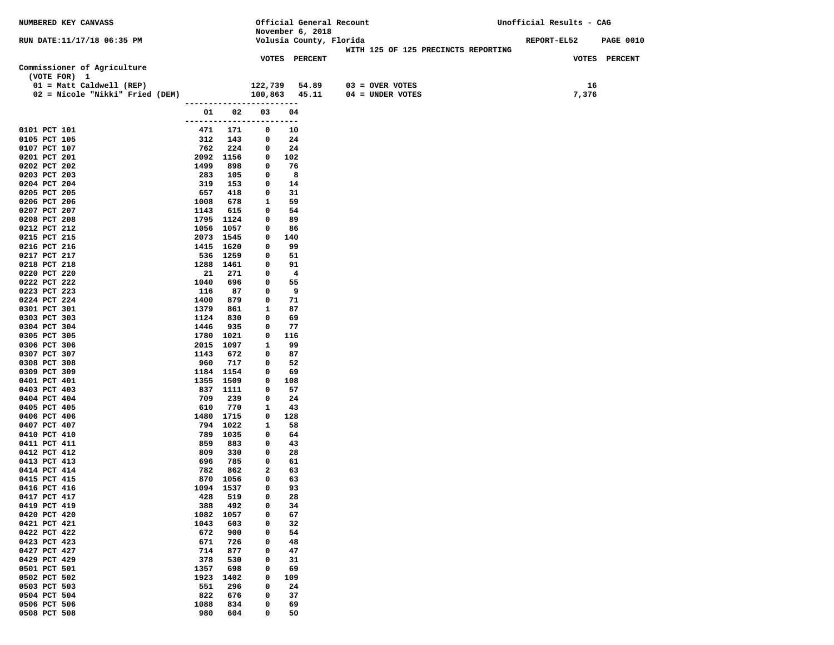| NUMBERED KEY CANVASS            |              |             |                                | Official General Recount |                                     | Unofficial Results - CAG |                  |
|---------------------------------|--------------|-------------|--------------------------------|--------------------------|-------------------------------------|--------------------------|------------------|
|                                 |              |             |                                | November 6, 2018         |                                     |                          |                  |
| RUN DATE:11/17/18 06:35 PM      |              |             |                                | Volusia County, Florida  |                                     | <b>REPORT-EL52</b>       | <b>PAGE 0010</b> |
|                                 |              |             |                                |                          | WITH 125 OF 125 PRECINCTS REPORTING |                          |                  |
|                                 |              |             |                                | <b>VOTES PERCENT</b>     |                                     |                          | VOTES PERCENT    |
| Commissioner of Agriculture     |              |             |                                |                          |                                     |                          |                  |
| (VOTE FOR) 1                    |              |             |                                |                          |                                     |                          |                  |
| 01 = Matt Caldwell (REP)        |              |             |                                | 122,739 54.89            | $03 =$ OVER VOTES                   | 16                       |                  |
| 02 = Nicole "Nikki" Fried (DEM) |              |             |                                | 100,863 45.11            | $04 = UNDER VOTES$                  | 7,376                    |                  |
|                                 |              |             | ------------------------       |                          |                                     |                          |                  |
|                                 | 01 1         | 02          | 03<br>------------------------ | 04                       |                                     |                          |                  |
| 0101 PCT 101                    | 471          | 171         | 0                              | 10                       |                                     |                          |                  |
| 0105 PCT 105                    | 312          | 143         | 0                              | 24                       |                                     |                          |                  |
| 0107 PCT 107                    | 762          | 224         | 0                              | 24                       |                                     |                          |                  |
| 0201 PCT 201                    |              | 2092 1156   | 0                              | 102                      |                                     |                          |                  |
| 0202 PCT 202                    | 1499         | 898         | 0                              | 76                       |                                     |                          |                  |
| 0203 PCT 203                    | 283          | 105         | 0                              | 8                        |                                     |                          |                  |
| 0204 PCT 204                    | 319          | 153         | 0                              | 14                       |                                     |                          |                  |
| 0205 PCT 205                    | 657          | 418         | 0                              | 31                       |                                     |                          |                  |
| 0206 PCT 206                    | 1008         | 678         | $\mathbf{1}$                   | 59                       |                                     |                          |                  |
| 0207 PCT 207                    | 1143         | 615         | 0                              | 54                       |                                     |                          |                  |
| 0208 PCT 208                    |              | 1795 1124   | 0                              | 89                       |                                     |                          |                  |
| 0212 PCT 212                    |              | 1056 1057   | 0                              | 86                       |                                     |                          |                  |
| 0215 PCT 215                    |              | 2073 1545   | 0                              | 140                      |                                     |                          |                  |
| 0216 PCT 216                    |              | 1415 1620   | 0                              | 99                       |                                     |                          |                  |
| 0217 PCT 217                    | 536          | 1259        | 0                              | 51                       |                                     |                          |                  |
| 0218 PCT 218                    |              | 1288 1461   | 0                              | 91                       |                                     |                          |                  |
| 0220 PCT 220                    | 21           | 271         | 0                              | $\overline{\mathbf{4}}$  |                                     |                          |                  |
| 0222 PCT 222                    | 1040         | 696         | 0                              | 55                       |                                     |                          |                  |
| 0223 PCT 223                    | 116          | 87          | 0                              | 9<br>71                  |                                     |                          |                  |
| 0224 PCT 224<br>0301 PCT 301    | 1400<br>1379 | 879<br>861  | 0<br>1                         | 87                       |                                     |                          |                  |
| 0303 PCT 303                    | 1124         | 830         | 0                              | 69                       |                                     |                          |                  |
| 0304 PCT 304                    | 1446         | 935         | 0                              | 77                       |                                     |                          |                  |
| 0305 PCT 305                    |              | 1780 1021   | 0                              | 116                      |                                     |                          |                  |
| 0306 PCT 306                    |              | 2015 1097   | 1                              | 99                       |                                     |                          |                  |
| 0307 PCT 307                    | 1143         | 672         | 0                              | 87                       |                                     |                          |                  |
| 0308 PCT 308                    | 960          | 717         | 0                              | 52                       |                                     |                          |                  |
| 0309 PCT 309                    |              | 1184 1154   | $\mathbf{o}$                   | 69                       |                                     |                          |                  |
| 0401 PCT 401                    |              | 1355 1509   | 0                              | 108                      |                                     |                          |                  |
| 0403 PCT 403                    |              | 837 1111    | 0                              | 57                       |                                     |                          |                  |
| 0404 PCT 404                    | 709          | 239         | 0                              | 24                       |                                     |                          |                  |
| 0405 PCT 405                    | 610          | 770         | 1                              | 43                       |                                     |                          |                  |
| 0406 PCT 406                    | 1480         | 1715        | 0                              | 128                      |                                     |                          |                  |
| 0407 PCT 407                    | 794          | 1022        | 1                              | 58                       |                                     |                          |                  |
| 0410 PCT 410                    | 789<br>859   | 1035<br>883 | 0<br>0                         | 64<br>43                 |                                     |                          |                  |
| 0411 PCT 411<br>0412 PCT 412    | 809          | 330         | 0                              | 28                       |                                     |                          |                  |
| 0413 PCT 413                    | 696          | 785         | 0                              | 61                       |                                     |                          |                  |
| 0414 PCT 414                    | 782          | 862         | 2                              | 63                       |                                     |                          |                  |
| 0415 PCT 415                    | 870          | 1056        | 0                              | 63                       |                                     |                          |                  |
| 0416 PCT 416                    |              | 1094 1537   | 0                              | 93                       |                                     |                          |                  |
| 0417 PCT 417                    | 428          | 519         | 0                              | 28                       |                                     |                          |                  |
| 0419 PCT 419                    | 388          | 492         | 0                              | 34                       |                                     |                          |                  |
| 0420 PCT 420                    | 1082         | 1057        | 0                              | 67                       |                                     |                          |                  |
| 0421 PCT 421                    | 1043         | 603         | 0                              | 32                       |                                     |                          |                  |
| 0422 PCT 422                    | 672          | 900         | 0                              | 54                       |                                     |                          |                  |
| 0423 PCT 423                    | 671          | 726         | 0                              | 48                       |                                     |                          |                  |
| 0427 PCT 427                    | 714          | 877         | 0                              | 47                       |                                     |                          |                  |
| 0429 PCT 429                    | 378          | 530         | 0                              | 31                       |                                     |                          |                  |
| 0501 PCT 501                    | 1357         | 698         | $\mathbf 0$                    | 69                       |                                     |                          |                  |
| 0502 PCT 502                    | 1923         | 1402        | 0                              | 109                      |                                     |                          |                  |
| 0503 PCT 503                    | 551          | 296         | 0                              | 24                       |                                     |                          |                  |
| 0504 PCT 504                    | 822          | 676         | 0                              | 37                       |                                     |                          |                  |
| 0506 PCT 506<br>0508 PCT 508    | 1088<br>980  | 834<br>604  | 0<br>0                         | 69<br>50                 |                                     |                          |                  |
|                                 |              |             |                                |                          |                                     |                          |                  |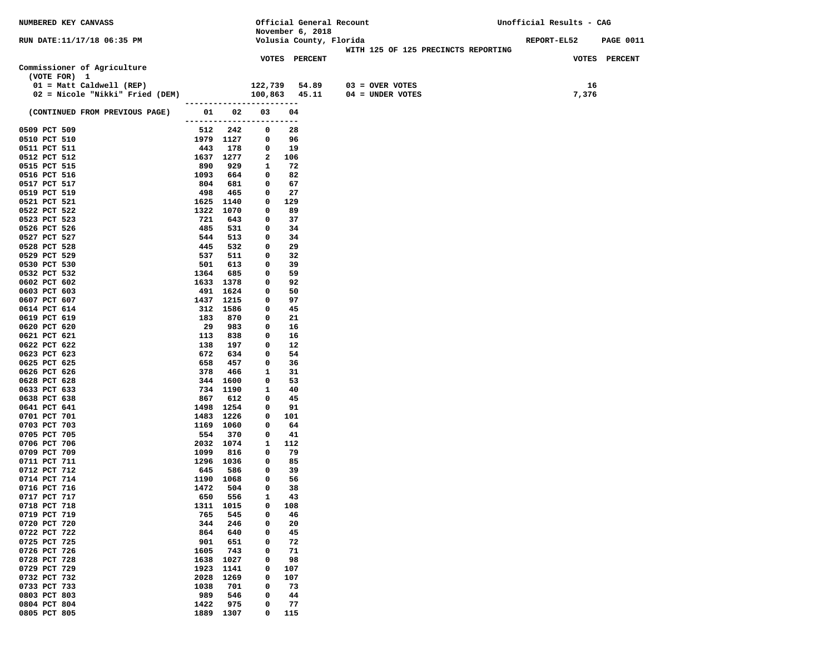| <b>NUMBERED KEY CANVASS</b>     |             |                       |                          | Official General Recount              |                                     | Unofficial Results - CAG |                  |
|---------------------------------|-------------|-----------------------|--------------------------|---------------------------------------|-------------------------------------|--------------------------|------------------|
|                                 |             |                       |                          | November 6, 2018                      |                                     |                          |                  |
| RUN DATE:11/17/18 06:35 PM      |             |                       |                          | Volusia County, Florida               |                                     | <b>REPORT-EL52</b>       | <b>PAGE 0011</b> |
|                                 |             |                       |                          |                                       | WITH 125 OF 125 PRECINCTS REPORTING |                          |                  |
|                                 |             |                       |                          | <b>VOTES PERCENT</b>                  |                                     |                          | VOTES PERCENT    |
| Commissioner of Agriculture     |             |                       |                          |                                       |                                     |                          |                  |
| (VOTE FOR) 1                    |             |                       |                          |                                       |                                     |                          |                  |
| 01 = Matt Caldwell (REP)        |             |                       |                          | 122,739     54.89<br>100,863    45.11 | 03 = OVER VOTES                     | 16                       |                  |
| 02 = Nicole "Nikki" Fried (DEM) |             |                       | ------------------------ |                                       | 04 = UNDER VOTES                    | 7,376                    |                  |
|                                 |             | 01 02                 | 03                       | 04                                    |                                     |                          |                  |
| (CONTINUED FROM PREVIOUS PAGE)  |             |                       | ------------------------ |                                       |                                     |                          |                  |
| 0509 PCT 509                    |             | 512 242               | 0                        | 28                                    |                                     |                          |                  |
| 0510 PCT 510                    |             | 1979 1127             | 0                        | 96                                    |                                     |                          |                  |
| 0511 PCT 511                    | 443         | 178                   | 0                        | 19                                    |                                     |                          |                  |
| 0512 PCT 512                    | 1637 1277   |                       | 2                        | 106                                   |                                     |                          |                  |
| 0515 PCT 515                    | 890         | 929                   | 1                        | 72                                    |                                     |                          |                  |
| 0516 PCT 516                    | 1093        | 664                   | 0                        | 82                                    |                                     |                          |                  |
| 0517 PCT 517                    | 804         | 681                   | 0                        | 67                                    |                                     |                          |                  |
| 0519 PCT 519                    | 498         | 465                   | 0                        | 27                                    |                                     |                          |                  |
| 0521 PCT 521                    |             | 1625 1140             | 0                        | 129                                   |                                     |                          |                  |
| 0522 PCT 522                    | 1322        | 1070                  | 0                        | 89                                    |                                     |                          |                  |
| 0523 PCT 523                    | 721         | 643                   | 0                        | 37                                    |                                     |                          |                  |
| 0526 PCT 526                    | 485         | 531                   | 0                        | 34                                    |                                     |                          |                  |
| 0527 PCT 527                    | 544         | 513                   | 0                        | 34                                    |                                     |                          |                  |
| 0528 PCT 528                    | 445         | 532                   | 0                        | 29                                    |                                     |                          |                  |
| 0529 PCT 529                    | 537         | 511                   | 0                        | 32                                    |                                     |                          |                  |
| 0530 PCT 530                    | 501         | 613                   | 0                        | 39                                    |                                     |                          |                  |
| 0532 PCT 532                    | 1364        | 685                   | 0                        | 59                                    |                                     |                          |                  |
| 0602 PCT 602<br>0603 PCT 603    |             | 1633 1378             | 0<br>0                   | 92                                    |                                     |                          |                  |
| 0607 PCT 607                    |             | 491 1624<br>1437 1215 | 0                        | 50<br>97                              |                                     |                          |                  |
| 0614 PCT 614                    |             | 312 1586              | 0                        | 45                                    |                                     |                          |                  |
| 0619 PCT 619                    | 183         | 870                   | 0                        | 21                                    |                                     |                          |                  |
| 0620 PCT 620                    | 29          | 983                   | 0                        | 16                                    |                                     |                          |                  |
| 0621 PCT 621                    | 113         | 838                   | 0                        | 16                                    |                                     |                          |                  |
| 0622 PCT 622                    | 138         | 197                   | 0                        | 12                                    |                                     |                          |                  |
| 0623 PCT 623                    | 672         | 634                   | 0                        | 54                                    |                                     |                          |                  |
| 0625 PCT 625                    | 658         | 457                   | 0                        | 36                                    |                                     |                          |                  |
| 0626 PCT 626                    | 378         | 466                   | 1                        | 31                                    |                                     |                          |                  |
| 0628 PCT 628                    |             | 344 1600              | 0                        | 53                                    |                                     |                          |                  |
| 0633 PCT 633                    |             | 734 1190              | 1                        | 40                                    |                                     |                          |                  |
| 0638 PCT 638                    | 867         | 612                   | 0                        | 45                                    |                                     |                          |                  |
| 0641 PCT 641                    |             | 1498 1254             | 0                        | 91                                    |                                     |                          |                  |
| 0701 PCT 701                    | 1483 1226   |                       | 0                        | 101                                   |                                     |                          |                  |
| 0703 PCT 703<br>0705 PCT 705    | 554         | 1169 1060<br>370      | 0<br>0                   | 64<br>41                              |                                     |                          |                  |
| 0706 PCT 706                    |             | 2032 1074             | 1                        | 112                                   |                                     |                          |                  |
| 0709 PCT 709                    | 1099        | 816                   | 0                        | 79                                    |                                     |                          |                  |
| 0711 PCT 711                    |             | 1296 1036             | 0                        | 85                                    |                                     |                          |                  |
| 0712 PCT 712                    | 645         | 586                   | 0                        | 39                                    |                                     |                          |                  |
| 0714 PCT 714                    |             | 1190 1068             | 0                        | 56                                    |                                     |                          |                  |
| 0716 PCT 716                    | 1472        | 504                   | 0                        | 38                                    |                                     |                          |                  |
| 0717 PCT 717                    | 650         | 556                   | 1                        | 43                                    |                                     |                          |                  |
| 0718 PCT 718                    | 1311        | 1015                  | 0                        | 108                                   |                                     |                          |                  |
| 0719 PCT 719                    | 765         | 545                   | 0                        | 46                                    |                                     |                          |                  |
| 0720 PCT 720                    | 344         | 246                   | 0                        | 20                                    |                                     |                          |                  |
| 0722 PCT 722                    | 864         | 640                   | 0                        | 45                                    |                                     |                          |                  |
| 0725 PCT 725                    | 901         | 651                   | 0                        | 72                                    |                                     |                          |                  |
| 0726 PCT 726                    | 1605        | 743                   | 0                        | 71                                    |                                     |                          |                  |
| 0728 PCT 728                    | 1638        | 1027                  | $\mathbf 0$              | 98                                    |                                     |                          |                  |
| 0729 PCT 729                    | 1923        | 1141                  | 0                        | 107                                   |                                     |                          |                  |
| 0732 PCT 732                    | 2028        | 1269                  | 0                        | 107                                   |                                     |                          |                  |
| 0733 PCT 733<br>0803 PCT 803    | 1038<br>989 | 701                   | 0                        | 73                                    |                                     |                          |                  |
| 0804 PCT 804                    | 1422        | 546<br>975            | 0<br>0                   | 44<br>77                              |                                     |                          |                  |
| 0805 PCT 805                    |             | 1889 1307             | 0                        | 115                                   |                                     |                          |                  |
|                                 |             |                       |                          |                                       |                                     |                          |                  |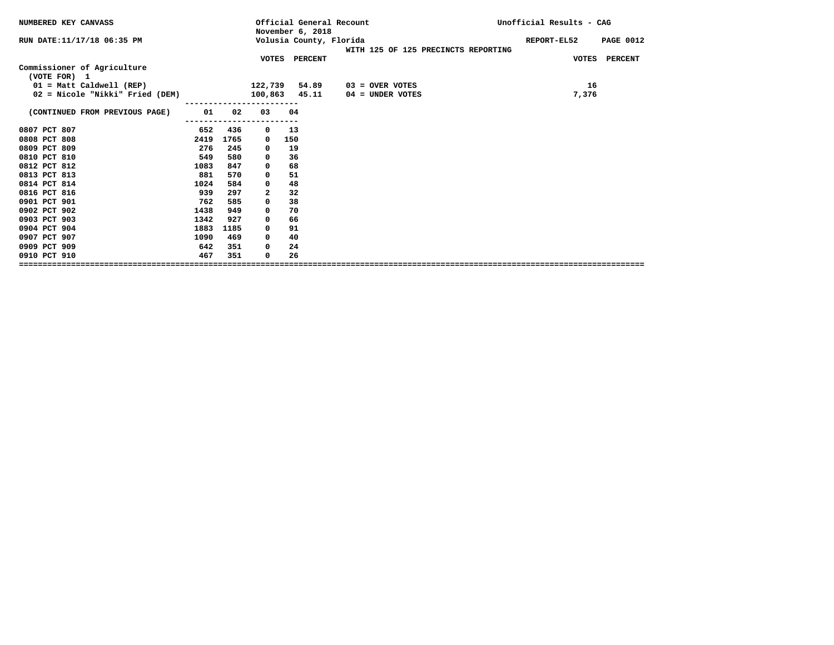| NUMBERED KEY CANVASS                        |      |      |          | Official General Recount<br>November 6, 2018 |                                     | Unofficial Results - CAG        |
|---------------------------------------------|------|------|----------|----------------------------------------------|-------------------------------------|---------------------------------|
| RUN DATE:11/17/18 06:35 PM                  |      |      |          | Volusia County, Florida                      | WITH 125 OF 125 PRECINCTS REPORTING | REPORT-EL52<br><b>PAGE 0012</b> |
|                                             |      |      |          | VOTES PERCENT                                |                                     | VOTES PERCENT                   |
| Commissioner of Agriculture<br>(VOTE FOR) 1 |      |      |          |                                              |                                     |                                 |
| $01$ = Matt Caldwell (REP)                  |      |      | 122,739  | 54.89                                        | $03 =$ OVER VOTES                   | 16                              |
| 02 = Nicole "Nikki" Fried (DEM)             |      |      |          | 100,863 45.11                                | 04 = UNDER VOTES                    | 7,376                           |
| (CONTINUED FROM PREVIOUS PAGE)              | 01   | 02   | 03       | 04                                           |                                     |                                 |
| 0807 PCT 807                                | 652  | 436  | 0        | 13                                           |                                     |                                 |
| 0808 PCT 808                                | 2419 | 1765 | 0        | 150                                          |                                     |                                 |
| 0809 PCT 809                                | 276  | 245  | 0        | 19                                           |                                     |                                 |
| 0810 PCT 810                                | 549  | 580  | 0        | 36                                           |                                     |                                 |
| 0812 PCT 812                                | 1083 | 847  | 0        | 68                                           |                                     |                                 |
| 0813 PCT 813                                | 881  | 570  | 0        | 51                                           |                                     |                                 |
| 0814 PCT 814                                | 1024 | 584  | 0        | 48                                           |                                     |                                 |
| 0816 PCT 816                                | 939  | 297  | 2        | 32                                           |                                     |                                 |
| 0901 PCT 901                                | 762  | 585  | 0        | 38                                           |                                     |                                 |
| 0902 PCT 902                                | 1438 | 949  | 0        | 70                                           |                                     |                                 |
| 0903 PCT 903                                | 1342 | 927  | 0        | 66                                           |                                     |                                 |
| 0904 PCT 904                                | 1883 | 1185 | $\Omega$ | 91                                           |                                     |                                 |
| 0907 PCT 907                                | 1090 | 469  | 0        | 40                                           |                                     |                                 |
| 0909 PCT 909                                | 642  | 351  | 0        | 24                                           |                                     |                                 |
| 0910 PCT 910                                | 467  | 351  | 0        | 26                                           |                                     |                                 |
|                                             |      |      |          |                                              |                                     |                                 |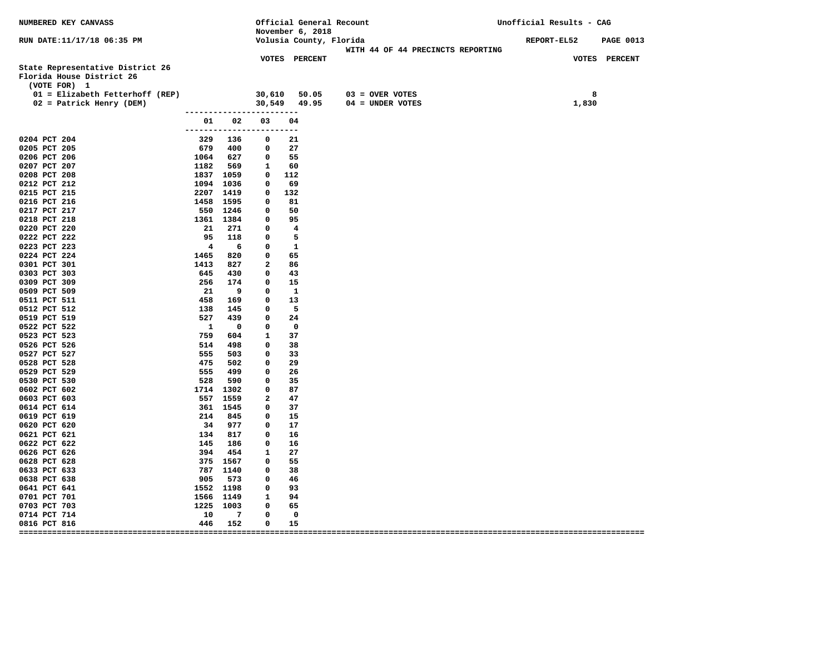| NUMBERED KEY CANVASS                                                          |                                              |                        |                             | November 6, 2018               | Official General Recount                                     | Unofficial Results - CAG               |
|-------------------------------------------------------------------------------|----------------------------------------------|------------------------|-----------------------------|--------------------------------|--------------------------------------------------------------|----------------------------------------|
| RUN DATE:11/17/18 06:35 PM                                                    |                                              |                        |                             |                                | Volusia County, Florida<br>WITH 44 OF 44 PRECINCTS REPORTING | <b>REPORT-EL52</b><br><b>PAGE 0013</b> |
| State Representative District 26<br>Florida House District 26<br>(VOTE FOR) 1 |                                              |                        |                             | VOTES PERCENT                  |                                                              | VOTES PERCENT                          |
| 01 = Elizabeth Fetterhoff (REP)<br>02 = Patrick Henry (DEM)                   |                                              |                        |                             | 30,610 50.05                   | 03 = OVER VOTES<br>$30,549$ $49.95$ $04 =$ UNDER VOTES       | 8<br>1,830                             |
|                                                                               | -------------------------                    | 01 02                  | 03                          | 04                             |                                                              |                                        |
| 0204 PCT 204                                                                  | ------------------------<br>329 136          |                        | $\overline{\phantom{0}}$    | -21                            |                                                              |                                        |
| 0205 PCT 205                                                                  |                                              | 679 400                |                             | $0\qquad 27$                   |                                                              |                                        |
| 0206 PCT 206                                                                  | 1064 627                                     |                        | $0\qquad 55$                |                                |                                                              |                                        |
| 0207 PCT 207                                                                  | 1182 569                                     |                        | 1 60                        |                                |                                                              |                                        |
| 0208 PCT 208                                                                  | 1837 1059                                    |                        |                             | $0\quad 112$                   |                                                              |                                        |
| 0212 PCT 212                                                                  | 1094 1036                                    |                        |                             | 0 69                           |                                                              |                                        |
| 0215 PCT 215                                                                  | 2207 1419                                    |                        |                             | $0\quad 132$                   |                                                              |                                        |
| 0216 PCT 216                                                                  | 1458 1595                                    |                        | $^{\circ}$                  | 81                             |                                                              |                                        |
| 0217 PCT 217                                                                  |                                              | 550 1246               | $0\qquad 50$                |                                |                                                              |                                        |
| 0218 PCT 218                                                                  | 1361 1384                                    |                        |                             | 0 95                           |                                                              |                                        |
| 0220 PCT 220                                                                  | 21 271                                       |                        | $\mathbf 0$                 | $\overline{\mathbf{4}}$        |                                                              |                                        |
| 0222 PCT 222                                                                  |                                              | 95 118                 | $\mathbf 0$                 | $5^{\circ}$                    |                                                              |                                        |
| 0223 PCT 223                                                                  | $\overline{\mathbf{4}}$                      | 6                      | $\mathbf 0$                 | $\overline{\phantom{a}}$       |                                                              |                                        |
| 0224 PCT 224                                                                  | 1465 820                                     |                        | $\mathbf 0$                 | 65                             |                                                              |                                        |
| 0301 PCT 301                                                                  | 1413 827                                     |                        | $\overline{2}$              | 86                             |                                                              |                                        |
| 0303 PCT 303                                                                  | 645 430                                      |                        | $\mathbf{0}$                | 43                             |                                                              |                                        |
| 0309 PCT 309                                                                  | 256 174                                      |                        | $\overline{\mathbf{0}}$     | 15                             |                                                              |                                        |
| 0509 PCT 509                                                                  | 21 9<br>458 169                              | 21 9                   | $\mathbf 0$                 | $\mathbf{1}$                   |                                                              |                                        |
| 0511 PCT 511<br>0512 PCT 512                                                  | 138 145                                      |                        | $\mathbf 0$<br>$\mathbf{0}$ | 13<br>$\overline{\phantom{0}}$ |                                                              |                                        |
| 0519 PCT 519                                                                  |                                              |                        | $\mathbf 0$                 | 24                             |                                                              |                                        |
| 0522 PCT 522                                                                  | 527 439<br>1 0<br>759 604                    |                        | $\mathbf 0$                 | $\overline{\phantom{0}}$       |                                                              |                                        |
| 0523 PCT 523                                                                  |                                              |                        | $\mathbf{1}$                | 37                             |                                                              |                                        |
| 0526 PCT 526                                                                  |                                              |                        | $\mathbf 0$                 | 38                             |                                                              |                                        |
| 0527 PCT 527                                                                  | 514 498<br>555 503<br>475 502                |                        | $\mathbf 0$                 | 33                             |                                                              |                                        |
| 0528 PCT 528                                                                  |                                              |                        | $\mathbf 0$                 | 29                             |                                                              |                                        |
| 0529 PCT 529                                                                  | 555 499                                      |                        | 0                           | 26                             |                                                              |                                        |
| 0530 PCT 530                                                                  | 528                                          | 590                    | 0                           | - 35                           |                                                              |                                        |
| 0602 PCT 602                                                                  | 1714 1302                                    |                        | $\mathbf{0}$                | 87                             |                                                              |                                        |
| 0603 PCT 603                                                                  | 557 1559                                     |                        | $\overline{2}$              | 47                             |                                                              |                                        |
| 0614 PCT 614                                                                  | 361 1545                                     |                        | $\circ$                     | 37                             |                                                              |                                        |
| 0619 PCT 619                                                                  | 214 845                                      |                        | $\mathbf{0}$                | 15                             |                                                              |                                        |
| 0620 PCT 620                                                                  |                                              | 34 977                 | $\mathbf{0}$                | 17                             |                                                              |                                        |
| 0621 PCT 621                                                                  | 34<br>134<br>134<br>145<br>186<br>394<br>454 |                        | $\mathbf{0}$                | 16                             |                                                              |                                        |
| 0622 PCT 622                                                                  |                                              |                        | $\mathbf{O}$                | 16                             |                                                              |                                        |
| 0626 PCT 626                                                                  |                                              |                        | $\mathbf{1}$                | 27                             |                                                              |                                        |
| 0628 PCT 628                                                                  | 375 1567                                     |                        | $\mathbf{0}$                | 55                             |                                                              |                                        |
| 0633 PCT 633                                                                  | 787 1140                                     |                        | $\circ$                     | 38                             |                                                              |                                        |
| 0638 PCT 638                                                                  | 905 573                                      |                        | $\mathbf 0$                 | - 46                           |                                                              |                                        |
| 0641 PCT 641                                                                  | 1552 1198                                    |                        |                             | 0 93                           |                                                              |                                        |
| 0701 PCT 701                                                                  | 1566 1149                                    |                        | 1                           | 94                             |                                                              |                                        |
| 0703 PCT 703                                                                  | 1225 1003                                    |                        | 0                           | 65                             |                                                              |                                        |
| 0714 PCT 714<br>0816 PCT 816                                                  | 10                                           | $7^{\circ}$<br>446 152 | 0<br>$\mathbf 0$            | $\overline{\mathbf{0}}$<br>15  |                                                              |                                        |
|                                                                               |                                              |                        |                             |                                |                                                              |                                        |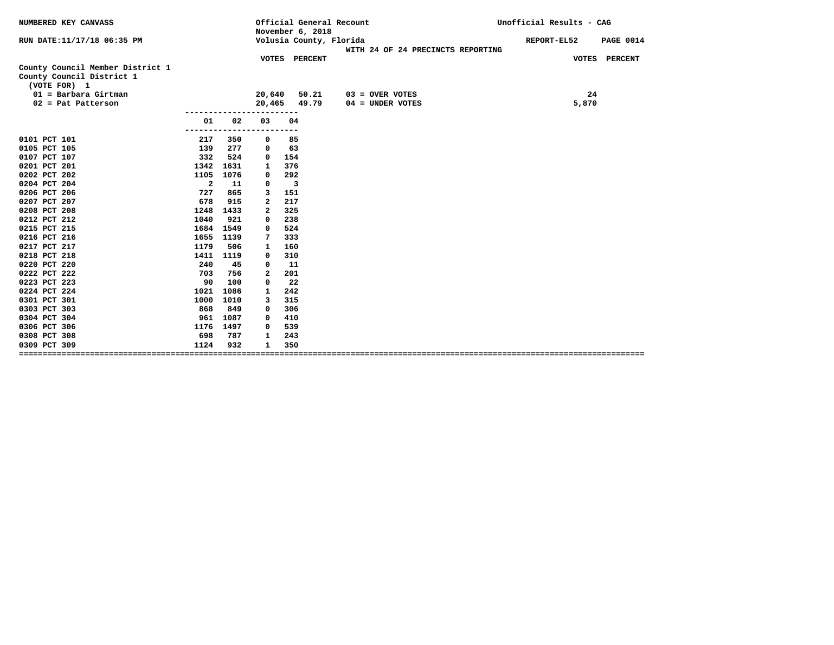| NUMBERED KEY CANVASS                                          |                |      | Official General Recount<br>November 6, 2018 |                         |                                   | Unofficial Results - CAG        |
|---------------------------------------------------------------|----------------|------|----------------------------------------------|-------------------------|-----------------------------------|---------------------------------|
| RUN DATE: 11/17/18 06:35 PM                                   |                |      |                                              | Volusia County, Florida | WITH 24 OF 24 PRECINCTS REPORTING | REPORT-EL52<br><b>PAGE 0014</b> |
| County Council Member District 1<br>County Council District 1 |                |      |                                              | VOTES PERCENT           |                                   | VOTES PERCENT                   |
| (VOTE FOR) 1                                                  |                |      |                                              |                         |                                   |                                 |
| $01 =$ Barbara Girtman                                        |                |      | 20,640                                       | 50.21                   | $03 =$ OVER VOTES                 | 24                              |
| $02$ = Pat Patterson                                          |                |      | 20,465                                       | 49.79                   | $04 = UNDER VOTES$                | 5,870                           |
|                                                               |                |      |                                              |                         |                                   |                                 |
|                                                               | 01<br>-------  | 02   | 03                                           | 04<br>---               |                                   |                                 |
| 0101 PCT 101                                                  | 217            | 350  | 0                                            | 85                      |                                   |                                 |
| 0105 PCT 105                                                  | 139            | 277  | 0                                            | 63                      |                                   |                                 |
| 0107 PCT 107                                                  | 332            | 524  | $\Omega$                                     | 154                     |                                   |                                 |
| 0201 PCT 201                                                  | 1342           | 1631 | 1                                            | 376                     |                                   |                                 |
| 0202 PCT 202                                                  | 1105           | 1076 | 0                                            | 292                     |                                   |                                 |
| 0204 PCT 204                                                  | $\overline{a}$ | 11   | 0                                            | $\overline{\mathbf{3}}$ |                                   |                                 |
| 0206 PCT 206                                                  | 727            | 865  | 3                                            | 151                     |                                   |                                 |
| 0207 PCT 207                                                  | 678            | 915  | $\mathbf{2}$                                 | 217                     |                                   |                                 |
| 0208 PCT 208                                                  | 1248           | 1433 | $\mathbf{2}$                                 | 325                     |                                   |                                 |
| 0212 PCT 212                                                  | 1040           | 921  | 0                                            | 238                     |                                   |                                 |
| 0215 PCT 215                                                  | 1684           | 1549 | 0                                            | 524                     |                                   |                                 |
| 0216 PCT 216                                                  | 1655           | 1139 | 7                                            | 333                     |                                   |                                 |
| 0217 PCT 217                                                  | 1179           | 506  | 1                                            | 160                     |                                   |                                 |
| 0218 PCT 218                                                  | 1411           | 1119 | 0                                            | 310                     |                                   |                                 |
| 0220 PCT 220                                                  | 240            | 45   | $\mathbf 0$                                  | 11                      |                                   |                                 |
| 0222 PCT 222                                                  | 703            | 756  | $\mathbf{2}$                                 | 201                     |                                   |                                 |
| 0223 PCT 223                                                  | 90             | 100  | 0                                            | 22                      |                                   |                                 |
| 0224 PCT 224                                                  | 1021           | 1086 | 1                                            | 242                     |                                   |                                 |
| 0301 PCT 301                                                  | 1000           | 1010 | 3                                            | 315                     |                                   |                                 |
| 0303 PCT 303                                                  | 868            | 849  | 0                                            | 306                     |                                   |                                 |
| 0304 PCT 304                                                  | 961            | 1087 | 0                                            | 410                     |                                   |                                 |
| 0306 PCT 306                                                  | 1176           | 1497 | 0                                            | 539                     |                                   |                                 |
| 0308 PCT 308                                                  | 698            | 787  | 1                                            | 243                     |                                   |                                 |
| 0309 PCT 309                                                  | 1124           | 932  | $\mathbf{1}$                                 | 350                     |                                   |                                 |